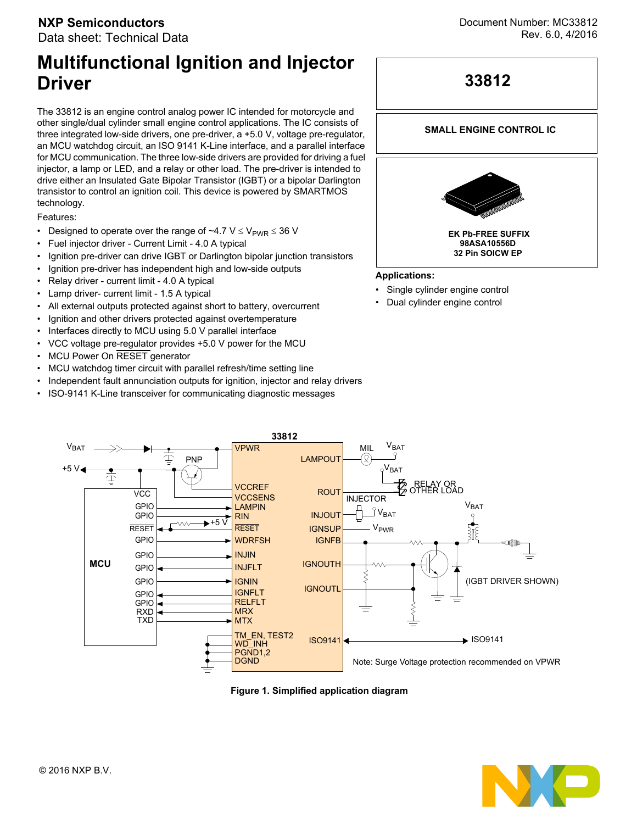# **Multifunctional Ignition and Injector Driver**

The 33812 is an engine control analog power IC intended for motorcycle and other single/dual cylinder small engine control applications. The IC consists of three integrated low-side drivers, one pre-driver, a +5.0 V, voltage pre-regulator, an MCU watchdog circuit, an ISO 9141 K-Line interface, and a parallel interface for MCU communication. The three low-side drivers are provided for driving a fuel injector, a lamp or LED, and a relay or other load. The pre-driver is intended to drive either an Insulated Gate Bipolar Transistor (IGBT) or a bipolar Darlington transistor to control an ignition coil. This device is powered by SMARTMOS technology.

Features:

- Designed to operate over the range of  $\sim$ 4.7 V  $\leq$  V<sub>PWR</sub>  $\leq$  36 V
- Fuel injector driver Current Limit 4.0 A typical
- Ignition pre-driver can drive IGBT or Darlington bipolar junction transistors
- Ignition pre-driver has independent high and low-side outputs
- Relay driver current limit 4.0 A typical
- Lamp driver- current limit 1.5 A typical
- All external outputs protected against short to battery, overcurrent
- Ignition and other drivers protected against overtemperature
- Interfaces directly to MCU using 5.0 V parallel interface
- VCC voltage pre-regulator provides +5.0 V power for the MCU
- MCU Power On RESET generator
- MCU watchdog timer circuit with parallel refresh/time setting line
- Independent fault annunciation outputs for ignition, injector and relay drivers
- ISO-9141 K-Line transceiver for communicating diagnostic messages





#### **SMALL ENGINE CONTROL IC**



#### **Applications:**

- Single cylinder engine control
- Dual cylinder engine control



 **Figure 1. Simplified application diagram**

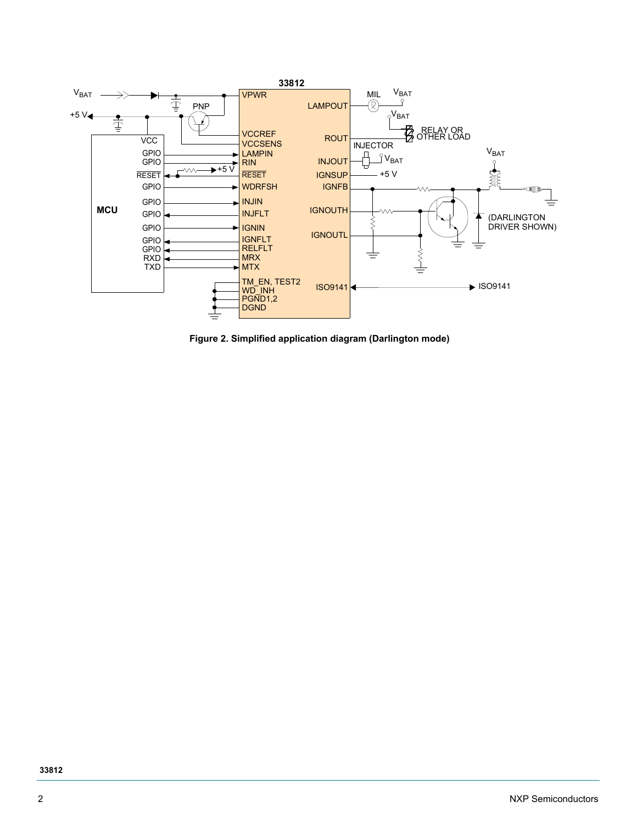

 **Figure 2. Simplified application diagram (Darlington mode)**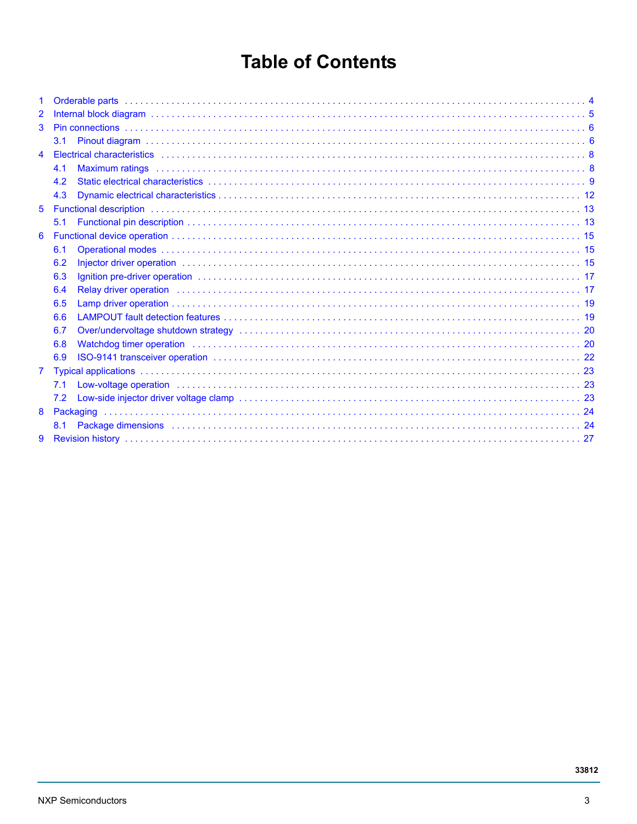# **Table of Contents**

| $\mathbf 1$    |                                                                                                                                                                                                                                       |  |
|----------------|---------------------------------------------------------------------------------------------------------------------------------------------------------------------------------------------------------------------------------------|--|
| $\overline{2}$ |                                                                                                                                                                                                                                       |  |
| 3              |                                                                                                                                                                                                                                       |  |
|                | 3.1                                                                                                                                                                                                                                   |  |
| 4              |                                                                                                                                                                                                                                       |  |
|                | 4.1                                                                                                                                                                                                                                   |  |
|                | 4.2                                                                                                                                                                                                                                   |  |
|                | 4.3                                                                                                                                                                                                                                   |  |
| 5              |                                                                                                                                                                                                                                       |  |
|                | 5.1                                                                                                                                                                                                                                   |  |
| 6              |                                                                                                                                                                                                                                       |  |
|                | 6.1                                                                                                                                                                                                                                   |  |
|                | Injector driver operation with the contract of the contract of the contract of the contract of the contract of the contract of the contract of the contract of the contract of the contract of the contract of the contract of<br>6.2 |  |
|                | 6.3<br><u>Ignition pre-driver operation the contract of the control of the control of the control of the control of</u>                                                                                                               |  |
|                | Relay driver operation in the contract of the contract of the contract of the contract of the contract of the contract of the contract of the contract of the contract of the contract of the contract of the contract of the<br>6.4  |  |
|                | 6.5                                                                                                                                                                                                                                   |  |
|                | 6.6                                                                                                                                                                                                                                   |  |
|                | Over/undervoltage shutdown strategy (and all contact and all contact and all contact and all contact and all contact and all contact and $20$<br>6.7                                                                                  |  |
|                | Watchdog timer operation in the contract of the contract of the contract of the contract of the contract of the contract of the contract of the contract of the contract of the contract of the contract of the contract of th<br>6.8 |  |
|                | 6.9                                                                                                                                                                                                                                   |  |
| $\mathbf{7}$   |                                                                                                                                                                                                                                       |  |
|                | 7.1                                                                                                                                                                                                                                   |  |
|                | 7.2                                                                                                                                                                                                                                   |  |
| 8              |                                                                                                                                                                                                                                       |  |
|                | Package dimensions (a) respectively and the control of the control of the control of the control of the control of the control of the control of the control of the control of the control of the control of the control of th<br>8.1 |  |
| 9              |                                                                                                                                                                                                                                       |  |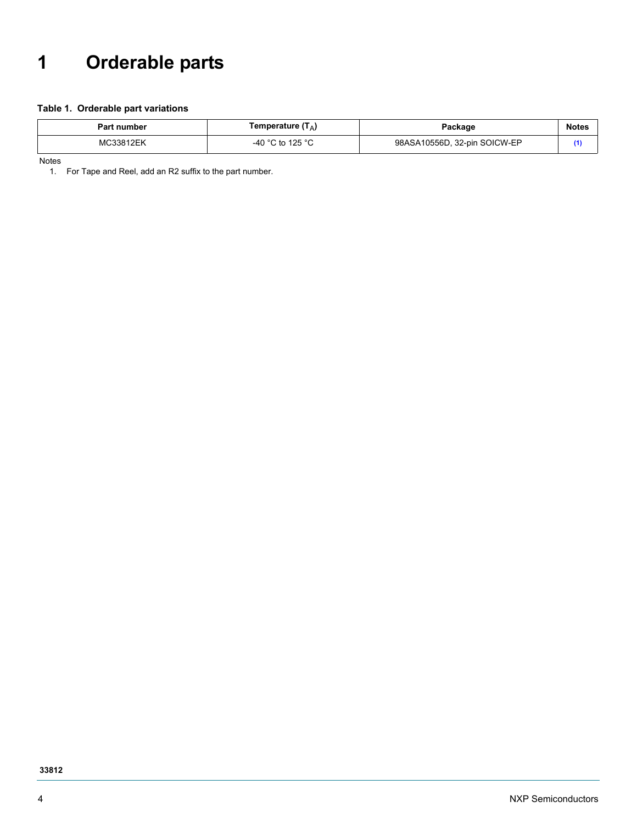# <span id="page-3-0"></span>**1 Orderable parts**

#### **Table 1. Orderable part variations**

| Part number | Temperature (Т <sub>А</sub> ) | ackage?                      | Note. |
|-------------|-------------------------------|------------------------------|-------|
| n л с       | $\cdot$ to 125 °C             | 98ASA10556D, 32-pin SOICW-EP |       |

Notes

<span id="page-3-1"></span>1. For Tape and Reel, add an R2 suffix to the part number.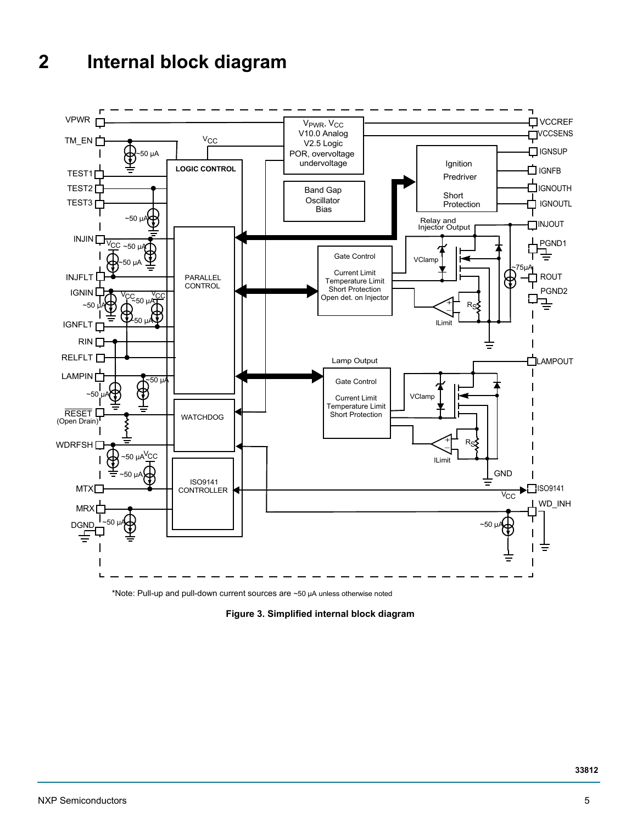# <span id="page-4-0"></span>**2 Internal block diagram**



\*Note: Pull-up and pull-down current sources are ~50 µA unless otherwise noted

 **Figure 3. Simplified internal block diagram**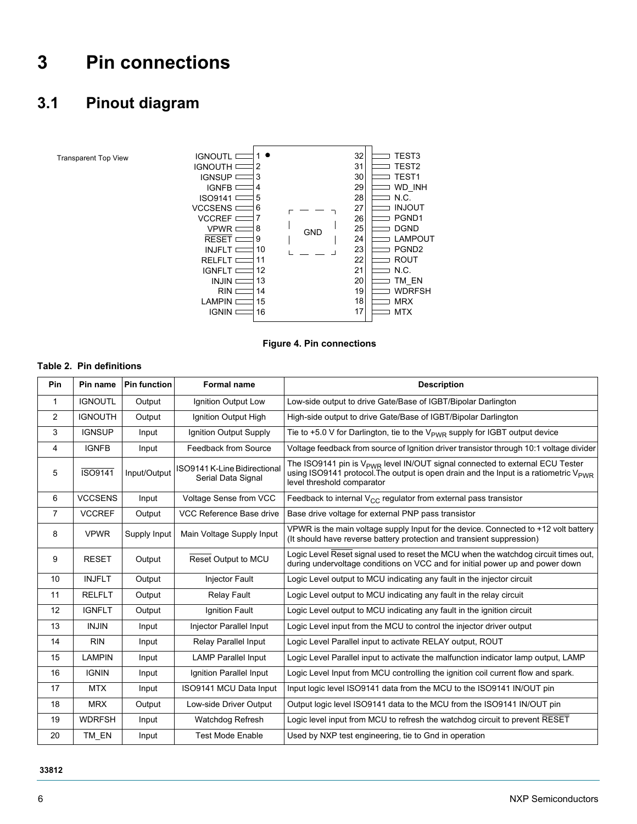# <span id="page-5-0"></span>**3 Pin connections**

## <span id="page-5-1"></span>**3.1 Pinout diagram**

Transparent Top View



 **Figure 4. Pin connections**

#### **Table 2. Pin definitions**

| <b>Pin</b>     | Pin name       | <b>Pin function</b> | <b>Formal name</b>                                 | <b>Description</b>                                                                                                                                                                                                         |
|----------------|----------------|---------------------|----------------------------------------------------|----------------------------------------------------------------------------------------------------------------------------------------------------------------------------------------------------------------------------|
| $\mathbf 1$    | <b>IGNOUTL</b> | Output              | Ignition Output Low                                | Low-side output to drive Gate/Base of IGBT/Bipolar Darlington                                                                                                                                                              |
| 2              | <b>IGNOUTH</b> | Output              | Ignition Output High                               | High-side output to drive Gate/Base of IGBT/Bipolar Darlington                                                                                                                                                             |
| 3              | <b>IGNSUP</b>  | Input               | Ignition Output Supply                             | Tie to +5.0 V for Darlington, tie to the $V_{\text{PWR}}$ supply for IGBT output device                                                                                                                                    |
| 4              | <b>IGNFB</b>   | Input               | Feedback from Source                               | Voltage feedback from source of Ignition driver transistor through 10:1 voltage divider                                                                                                                                    |
| 5              | <b>ISO9141</b> | Input/Output        | ISO9141 K-Line Bidirectional<br>Serial Data Signal | The ISO9141 pin is V <sub>PWR</sub> level IN/OUT signal connected to external ECU Tester<br>using ISO9141 protocol. The output is open drain and the Input is a ratiometric $V_{\text{PWR}}$<br>level threshold comparator |
| 6              | <b>VCCSENS</b> | Input               | Voltage Sense from VCC                             | Feedback to internal $V_{CC}$ regulator from external pass transistor                                                                                                                                                      |
| $\overline{7}$ | <b>VCCREF</b>  | Output              | VCC Reference Base drive                           | Base drive voltage for external PNP pass transistor                                                                                                                                                                        |
| 8              | <b>VPWR</b>    | Supply Input        | Main Voltage Supply Input                          | VPWR is the main voltage supply Input for the device. Connected to +12 volt battery<br>(It should have reverse battery protection and transient suppression)                                                               |
| 9              | <b>RESET</b>   | Output              | Reset Output to MCU                                | Logic Level Reset signal used to reset the MCU when the watchdog circuit times out,<br>during undervoltage conditions on VCC and for initial power up and power down                                                       |
| 10             | <b>INJFLT</b>  | Output              | <b>Injector Fault</b>                              | Logic Level output to MCU indicating any fault in the injector circuit                                                                                                                                                     |
| 11             | <b>RELFLT</b>  | Output              | <b>Relay Fault</b>                                 | Logic Level output to MCU indicating any fault in the relay circuit                                                                                                                                                        |
| 12             | <b>IGNFLT</b>  | Output              | Ignition Fault                                     | Logic Level output to MCU indicating any fault in the ignition circuit                                                                                                                                                     |
| 13             | <b>INJIN</b>   | Input               | Injector Parallel Input                            | Logic Level input from the MCU to control the injector driver output                                                                                                                                                       |
| 14             | <b>RIN</b>     | Input               | Relay Parallel Input                               | Logic Level Parallel input to activate RELAY output, ROUT                                                                                                                                                                  |
| 15             | <b>LAMPIN</b>  | Input               | <b>LAMP Parallel Input</b>                         | Logic Level Parallel input to activate the malfunction indicator lamp output, LAMP                                                                                                                                         |
| 16             | <b>IGNIN</b>   | Input               | Ignition Parallel Input                            | Logic Level Input from MCU controlling the ignition coil current flow and spark.                                                                                                                                           |
| 17             | <b>MTX</b>     | Input               | ISO9141 MCU Data Input                             | Input logic level ISO9141 data from the MCU to the ISO9141 IN/OUT pin                                                                                                                                                      |
| 18             | <b>MRX</b>     | Output              | Low-side Driver Output                             | Output logic level ISO9141 data to the MCU from the ISO9141 IN/OUT pin                                                                                                                                                     |
| 19             | <b>WDRFSH</b>  | Input               | Watchdog Refresh                                   | Logic level input from MCU to refresh the watchdog circuit to prevent RESET                                                                                                                                                |
| 20             | TM EN          | Input               | <b>Test Mode Enable</b>                            | Used by NXP test engineering, tie to Gnd in operation                                                                                                                                                                      |

#### **33812**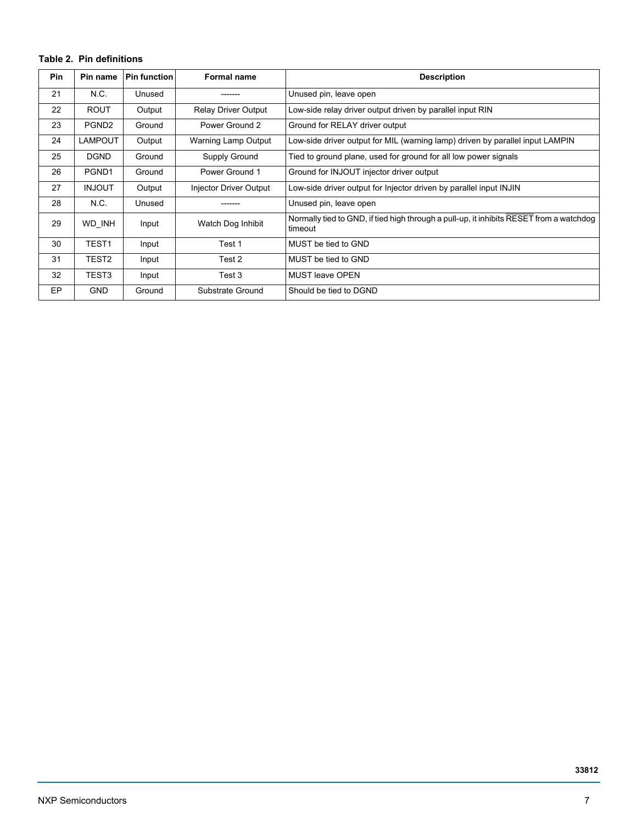#### **Table 2. Pin definitions**

| <b>Pin</b> | Pin name          | <b>Pin function</b> | <b>Formal name</b>         | <b>Description</b>                                                                                 |
|------------|-------------------|---------------------|----------------------------|----------------------------------------------------------------------------------------------------|
| 21         | N.C.              | Unused              |                            | Unused pin, leave open                                                                             |
| 22         | <b>ROUT</b>       | Output              | <b>Relay Driver Output</b> | Low-side relay driver output driven by parallel input RIN                                          |
| 23         | PGND <sub>2</sub> | Ground              | Power Ground 2             | Ground for RELAY driver output                                                                     |
| 24         | <b>LAMPOUT</b>    | Output              | Warning Lamp Output        | Low-side driver output for MIL (warning lamp) driven by parallel input LAMPIN                      |
| 25         | <b>DGND</b>       | Ground              | Supply Ground              | Tied to ground plane, used for ground for all low power signals                                    |
| 26         | PGND1             | Ground              | Power Ground 1             | Ground for INJOUT injector driver output                                                           |
| 27         | <b>INJOUT</b>     | Output              | Injector Driver Output     | Low-side driver output for Injector driven by parallel input INJIN                                 |
| 28         | N.C.              | Unused              |                            | Unused pin, leave open                                                                             |
| 29         | WD INH            | Input               | Watch Dog Inhibit          | Normally tied to GND, if tied high through a pull-up, it inhibits RESET from a watchdog<br>timeout |
| 30         | TEST <sub>1</sub> | Input               | Test 1                     | MUST be tied to GND                                                                                |
| 31         | TEST <sub>2</sub> | Input               | Test 2                     | MUST be tied to GND                                                                                |
| 32         | TEST3             | Input               | Test 3                     | <b>MUST leave OPEN</b>                                                                             |
| <b>EP</b>  | <b>GND</b>        | Ground              | Substrate Ground           | Should be tied to DGND                                                                             |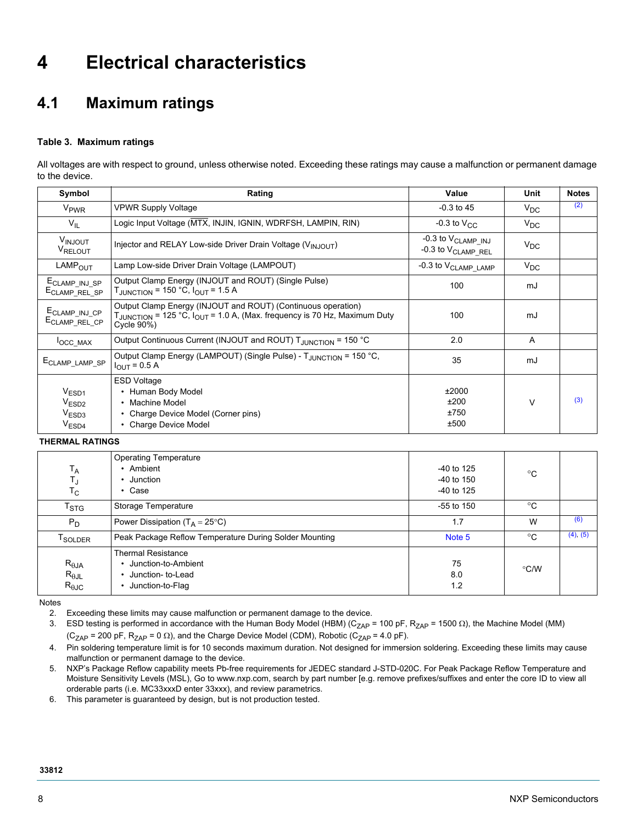# <span id="page-7-0"></span>**4 Electrical characteristics**

## <span id="page-7-1"></span>**4.1 Maximum ratings**

#### **Table 3. Maximum ratings**

All voltages are with respect to ground, unless otherwise noted. Exceeding these ratings may cause a malfunction or permanent damage to the device.

| Symbol                                                                           | Rating                                                                                                                                                                         | Value                                                              | Unit            | <b>Notes</b> |
|----------------------------------------------------------------------------------|--------------------------------------------------------------------------------------------------------------------------------------------------------------------------------|--------------------------------------------------------------------|-----------------|--------------|
| V <sub>PWR</sub>                                                                 | <b>VPWR Supply Voltage</b>                                                                                                                                                     | $-0.3$ to 45                                                       | $V_{\text{DC}}$ | (2)          |
| $V_{IL}$                                                                         | Logic Input Voltage (MTX, INJIN, IGNIN, WDRFSH, LAMPIN, RIN)                                                                                                                   | $-0.3$ to $V_{CC}$                                                 | $V_{\text{DC}}$ |              |
| VINJOUT<br>VRELOUT                                                               | Injector and RELAY Low-side Driver Drain Voltage (V <sub>INJOUT</sub> )                                                                                                        | $-0.3$ to $V_{\text{CLAMP}}$ inj<br>-0.3 to V <sub>CLAMP</sub> REL | $V_{DC}$        |              |
| LAMP <sub>OUT</sub>                                                              | Lamp Low-side Driver Drain Voltage (LAMPOUT)                                                                                                                                   | -0.3 to V <sub>CLAMP</sub> _LAMP                                   | $V_{\text{DC}}$ |              |
| ECLAMP_INJ_SP<br>ECLAMP_REL_SP                                                   | Output Clamp Energy (INJOUT and ROUT) (Single Pulse)<br>$T_{\text{JUNCTION}}$ = 150 °C, $I_{\text{OUT}}$ = 1.5 A                                                               | 100                                                                | mJ              |              |
| E <sub>CLAMP</sub> _INJ_CP<br>E <sub>CLAMP_REL_CP</sub>                          | Output Clamp Energy (INJOUT and ROUT) (Continuous operation)<br>T <sub>JUNCTION</sub> = 125 °C, I <sub>OUT</sub> = 1.0 A, (Max. frequency is 70 Hz, Maximum Duty<br>Cycle 90%) | 100                                                                | mJ              |              |
| <b>OCC MAX</b>                                                                   | Output Continuous Current (INJOUT and ROUT) T <sub>JUNCTION</sub> = 150 °C                                                                                                     | 2.0                                                                | A               |              |
| E <sub>CLAMP_LAMP_SP</sub>                                                       | Output Clamp Energy (LAMPOUT) (Single Pulse) - T <sub>JUNCTION</sub> = 150 °C,<br>$I_{OUT} = 0.5 A$                                                                            | 35                                                                 | mJ              |              |
| V <sub>ESD1</sub><br>V <sub>ESD2</sub><br>V <sub>ESD3</sub><br>V <sub>ESD4</sub> | <b>ESD Voltage</b><br>• Human Body Model<br>• Machine Model<br>Charge Device Model (Corner pins)<br>٠<br><b>Charge Device Model</b>                                            | ±2000<br>±200<br>±750<br>±500                                      | $\vee$          | (3)          |

**THERMAL RATINGS**

| $T_A$<br>T,<br>$T_{\rm C}$                         | <b>Operating Temperature</b><br>Ambient<br>Junction<br>Case                               | -40 to 125<br>$-40$ to 150<br>$-40$ to 125 | °C   |          |
|----------------------------------------------------|-------------------------------------------------------------------------------------------|--------------------------------------------|------|----------|
| $\mathsf{T}_{\text{STG}}$                          | Storage Temperature                                                                       | $-55$ to 150                               | °C   |          |
| $P_D$                                              | Power Dissipation (T <sub>A</sub> = 25°C)                                                 | 1.7                                        | W    | (6)      |
| <sup>T</sup> SOLDER                                | Peak Package Reflow Temperature During Solder Mounting                                    | Note 5                                     | °C   | (4), (5) |
| $R_{\theta$ JA<br>$R_{\theta$ JL<br>$R_{\theta$ JC | <b>Thermal Resistance</b><br>Junction-to-Ambient<br>Junction- to-Lead<br>Junction-to-Flag | 75<br>8.0<br>1.2                           | °C/W |          |

<span id="page-7-2"></span>Notes

2. Exceeding these limits may cause malfunction or permanent damage to the device.

<span id="page-7-3"></span>3. ESD testing is performed in accordance with the Human Body Model (HBM) (C<sub>ZAP</sub> = 100 pF, R<sub>ZAP</sub> = 1500  $\Omega$ ), the Machine Model (MM)  $(C_{ZAP} = 200 \text{ pF}, R_{ZAP} = 0 \Omega)$ , and the Charge Device Model (CDM), Robotic (C<sub>ZAP</sub> = 4.0 pF).

<span id="page-7-5"></span>4. Pin soldering temperature limit is for 10 seconds maximum duration. Not designed for immersion soldering. Exceeding these limits may cause malfunction or permanent damage to the device.

<span id="page-7-6"></span>5. [NXP's Package Reflow capability meets Pb-free requirements for JEDEC standard J-STD-020C. For Peak Package Reflow Temperature and](http://www.freescale.com)  [Moisture Sensitivity Levels \(MSL\), Go to](http://www.freescale.com) [www.nxp.com, search by part number \[e.g. remove prefixes/suffixes and enter the core ID to view all](www.nxp.com)  [orderable parts \(i.e. MC33xxxD enter 33xxx\), and review parametrics.](www.nxp.com)

<span id="page-7-4"></span>6. This parameter is guaranteed by design, but is not production tested.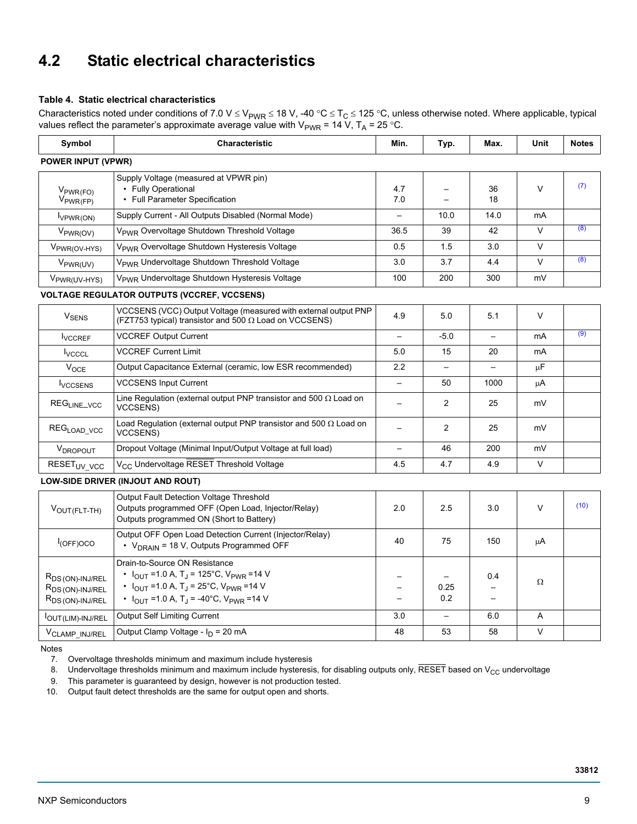## <span id="page-8-0"></span>**4.2 Static electrical characteristics**

#### **Table 4. Static electrical characteristics**

Characteristics noted under conditions of 7.0 V  $\leq$  V<sub>PWR</sub>  $\leq$  18 V, -40 °C  $\leq$  T<sub>C</sub>  $\leq$  125 °C, unless otherwise noted. Where applicable, typical values reflect the parameter's approximate average value with V<sub>PWR</sub> = 14 V, T<sub>A</sub> = 25 °C.

| Symbol<br><b>Characteristic</b>                                                              |                                                                                                                                                                                                                                                             | Min.                     | Typ.                     | Max.                     | <b>Unit</b> | <b>Notes</b> |
|----------------------------------------------------------------------------------------------|-------------------------------------------------------------------------------------------------------------------------------------------------------------------------------------------------------------------------------------------------------------|--------------------------|--------------------------|--------------------------|-------------|--------------|
| <b>POWER INPUT (VPWR)</b>                                                                    |                                                                                                                                                                                                                                                             |                          |                          |                          |             |              |
| $V_{PWR(FO)}$<br>$V_{PWR(FP)}$                                                               | Supply Voltage (measured at VPWR pin)<br>• Fully Operational<br>• Full Parameter Specification                                                                                                                                                              | 4.7<br>7.0               |                          | 36<br>18                 | $\vee$      | (7)          |
| Supply Current - All Outputs Disabled (Normal Mode)<br>l <sub>VPWR(ON)</sub>                 |                                                                                                                                                                                                                                                             |                          | 10.0                     | 14.0                     | mA          |              |
| V <sub>PWR(OV)</sub>                                                                         | V <sub>PWR</sub> Overvoltage Shutdown Threshold Voltage                                                                                                                                                                                                     | 36.5                     | 39                       | 42                       | $\vee$      | (8)          |
| V <sub>PWR(OV-HYS)</sub>                                                                     | V <sub>PWR</sub> Overvoltage Shutdown Hysteresis Voltage                                                                                                                                                                                                    | 0.5                      | 1.5                      | 3.0                      | $\vee$      |              |
| V <sub>PWR(UV)</sub>                                                                         | V <sub>PWR</sub> Undervoltage Shutdown Threshold Voltage                                                                                                                                                                                                    | 3.0                      | 3.7                      | 4.4                      | $\vee$      | (8)          |
| V <sub>PWR(UV-HYS)</sub>                                                                     | V <sub>PWR</sub> Undervoltage Shutdown Hysteresis Voltage                                                                                                                                                                                                   |                          | 200                      | 300                      | mV          |              |
|                                                                                              | <b>VOLTAGE REGULATOR OUTPUTS (VCCREF, VCCSENS)</b>                                                                                                                                                                                                          |                          |                          |                          |             |              |
| V <sub>SENS</sub>                                                                            | VCCSENS (VCC) Output Voltage (measured with external output PNP<br>(FZT753 typical) transistor and 500 Ω Load on VCCSENS)                                                                                                                                   | 4.9                      | 5.0                      | 5.1                      | $\vee$      |              |
| <b>VCCREF Output Current</b><br><b>I</b> VCCREF                                              |                                                                                                                                                                                                                                                             |                          | $-5.0$                   | $\overline{\phantom{0}}$ | mA          | (9)          |
| <b>I</b> vcccL                                                                               | <b>VCCREF Current Limit</b>                                                                                                                                                                                                                                 |                          | 15                       | 20                       | mA          |              |
| $V_{OCE}$                                                                                    | Output Capacitance External (ceramic, low ESR recommended)                                                                                                                                                                                                  |                          | $\equiv$                 |                          | $\mu$ F     |              |
| <b>VCCSENS</b>                                                                               | <b>VCCSENS Input Current</b>                                                                                                                                                                                                                                |                          | 50                       | 1000                     | μA          |              |
| REG <sub>LINE_VCC</sub>                                                                      | Line Regulation (external output PNP transistor and 500 $\Omega$ Load on<br><b>VCCSENS)</b>                                                                                                                                                                 |                          | 2                        | 25                       | mV          |              |
| REG <sub>LOAD_VCC</sub>                                                                      | Load Regulation (external output PNP transistor and 500 $\Omega$ Load on<br><b>VCCSENS)</b>                                                                                                                                                                 | $\qquad \qquad -$        | $\overline{2}$           | 25                       | mV          |              |
| V <sub>DROPOUT</sub>                                                                         | Dropout Voltage (Minimal Input/Output Voltage at full load)                                                                                                                                                                                                 |                          | 46                       | 200                      | mV          |              |
| RESET <sub>UV_VCC</sub>                                                                      | V <sub>CC</sub> Undervoltage RESET Threshold Voltage                                                                                                                                                                                                        | 4.5                      | 4.7                      | 4.9                      | $\vee$      |              |
|                                                                                              | LOW-SIDE DRIVER (INJOUT AND ROUT)                                                                                                                                                                                                                           |                          |                          |                          |             |              |
| VOUT(FLT-TH)                                                                                 | Output Fault Detection Voltage Threshold<br>Outputs programmed OFF (Open Load, Injector/Relay)<br>Outputs programmed ON (Short to Battery)                                                                                                                  | 2.0                      | 2.5                      | 3.0                      | $\vee$      | (10)         |
| $I_{(OFF)OCO}$                                                                               | Output OFF Open Load Detection Current (Injector/Relay)<br>• V <sub>DRAIN</sub> = 18 V, Outputs Programmed OFF                                                                                                                                              | 40                       | 75                       | 150                      | μA          |              |
| R <sub>DS</sub> (ON)-INJ/REL<br>R <sub>DS</sub> (ON)-INJ/REL<br>R <sub>DS</sub> (ON)-INJ/REL | Drain-to-Source ON Resistance<br>• $I_{OUT}$ = 1.0 A, T <sub>J</sub> = 125°C, V <sub>PWR</sub> = 14 V<br>• $I_{\text{OUT}}$ = 1.0 A, T <sub>J</sub> = 25°C, V <sub>PWR</sub> = 14 V<br>• $I_{OUT}$ = 1.0 A, T <sub>J</sub> = -40°C, V <sub>PWR</sub> = 14 V | $\overline{\phantom{0}}$ | 0.25<br>0.2              | 0.4                      | Ω           |              |
| <sup>I</sup> OUT(LIM)-INJ/REL                                                                | <b>Output Self Limiting Current</b>                                                                                                                                                                                                                         | 3.0                      | $\overline{\phantom{0}}$ | 6.0                      | Α           |              |
| V <sub>CLAMP_INJ/REL</sub>                                                                   | Output Clamp Voltage - I <sub>D</sub> = 20 mA                                                                                                                                                                                                               | 48                       | 53                       | 58                       | V           |              |

<span id="page-8-4"></span>Notes

7. Overvoltage thresholds minimum and maximum include hysteresis

<span id="page-8-1"></span>8. Undervoltage thresholds minimum and maximum include hysteresis, for disabling outputs only,  $\overline{\text{REST}}$  based on V<sub>CC</sub> undervoltage 9. This parameter is guaranteed by design, however is not production tested.

<span id="page-8-2"></span>This parameter is guaranteed by design, however is not production tested.

<span id="page-8-3"></span>10. Output fault detect thresholds are the same for output open and shorts.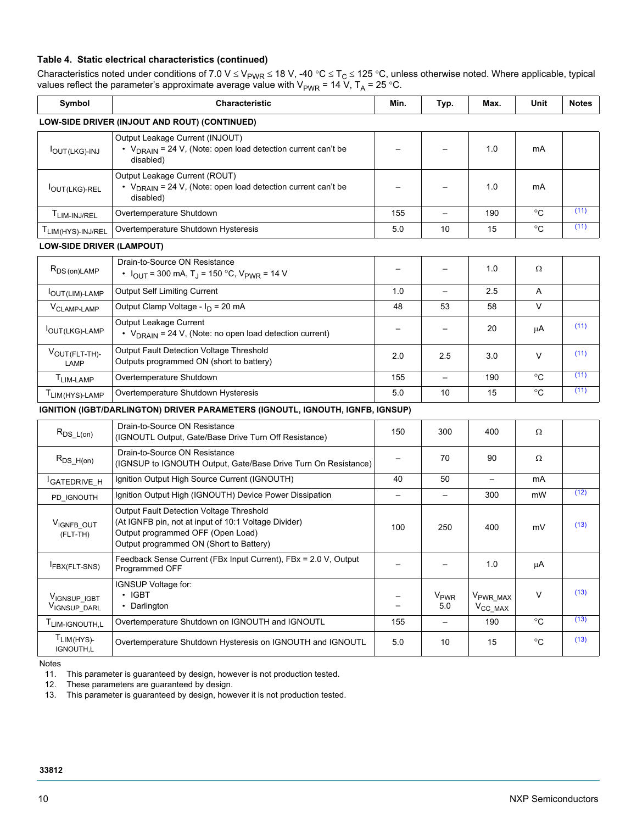#### **Table 4. Static electrical characteristics (continued)**

Characteristics noted under conditions of 7.0 V  $\leq$  V<sub>PWR</sub>  $\leq$  18 V, -40 °C  $\leq$  T<sub>C</sub>  $\leq$  125 °C, unless otherwise noted. Where applicable, typical values reflect the parameter's approximate average value with  $\rm V_{PWR}$  = 14 V, T<sub>A</sub> = 25 °C.

| Symbol                           | Characteristic                                                                                                                                                                   | Min.                     | Typ.                          | Max.                                         | Unit         | <b>Notes</b> |
|----------------------------------|----------------------------------------------------------------------------------------------------------------------------------------------------------------------------------|--------------------------|-------------------------------|----------------------------------------------|--------------|--------------|
|                                  | LOW-SIDE DRIVER (INJOUT AND ROUT) (CONTINUED)                                                                                                                                    |                          |                               |                                              |              |              |
| <b>IOUT(LKG)-INJ</b>             | Output Leakage Current (INJOUT)<br>• $V_{DRAIN}$ = 24 V, (Note: open load detection current can't be<br>disabled)                                                                |                          |                               | 1.0                                          | mA           |              |
| OUT(LKG)-REL                     | Output Leakage Current (ROUT)<br>• $V_{DRAIN}$ = 24 V, (Note: open load detection current can't be<br>disabled)                                                                  |                          |                               | 1.0                                          | mA           |              |
| T <sub>LIM-INJ/REL</sub>         | Overtemperature Shutdown                                                                                                                                                         | 155                      |                               | 190                                          | $^{\circ}$ C | (11)         |
| T <sub>LIM(HYS)-INJ/REL</sub>    | Overtemperature Shutdown Hysteresis                                                                                                                                              | 5.0                      | 10                            | 15                                           | $^{\circ}$ C | (11)         |
| <b>LOW-SIDE DRIVER (LAMPOUT)</b> |                                                                                                                                                                                  |                          |                               |                                              |              |              |
| $R_{DS(on) LAMP}$                | Drain-to-Source ON Resistance<br>• $I_{\text{OUT}}$ = 300 mA, T <sub>J</sub> = 150 °C, V <sub>PWR</sub> = 14 V                                                                   |                          |                               | 1.0                                          | Ω            |              |
| <b>IOUT (LIM)-LAMP</b>           | <b>Output Self Limiting Current</b>                                                                                                                                              | 1.0                      | $\qquad \qquad -$             | 2.5                                          | Α            |              |
| V <sub>CLAMP-LAMP</sub>          | Output Clamp Voltage - I <sub>D</sub> = 20 mA                                                                                                                                    | 48                       | 53                            | 58                                           | $\vee$       |              |
| OUT(LKG)-LAMP                    | Output Leakage Current<br>• $V_{DRAIN}$ = 24 V, (Note: no open load detection current)                                                                                           |                          |                               | 20                                           | μA           | (11)         |
| VOUT (FLT-TH)-<br>LAMP           | Output Fault Detection Voltage Threshold<br>Outputs programmed ON (short to battery)                                                                                             | 2.0                      | 2.5                           | 3.0                                          | $\vee$       | (11)         |
| T <sub>LIM-LAMP</sub>            | Overtemperature Shutdown                                                                                                                                                         | 155                      | $\qquad \qquad -$             | 190                                          | °C           | (11)         |
| TLIM(HYS)-LAMP                   | Overtemperature Shutdown Hysteresis                                                                                                                                              | 5.0                      | 10                            | 15                                           | $^{\circ}$ C | (11)         |
|                                  | IGNITION (IGBT/DARLINGTON) DRIVER PARAMETERS (IGNOUTL, IGNOUTH, IGNFB, IGNSUP)                                                                                                   |                          |                               |                                              |              |              |
| $R_{DS\_L(on)}$                  | Drain-to-Source ON Resistance<br>(IGNOUTL Output, Gate/Base Drive Turn Off Resistance)                                                                                           | 150                      | 300                           | 400                                          | Ω            |              |
| $R_{DS_H(on)}$                   | Drain-to-Source ON Resistance<br>(IGNSUP to IGNOUTH Output, Gate/Base Drive Turn On Resistance)                                                                                  |                          | 70                            | 90                                           | Ω            |              |
| <sup>I</sup> GATEDRIVE_H         | Ignition Output High Source Current (IGNOUTH)                                                                                                                                    | 40                       | 50                            | $\overline{\phantom{0}}$                     | mA           |              |
| PD IGNOUTH                       | Ignition Output High (IGNOUTH) Device Power Dissipation                                                                                                                          | $\overline{\phantom{0}}$ | $\qquad \qquad -$             | 300                                          | mW           | (12)         |
| VIGNFB_OUT<br>(FLT-TH)           | Output Fault Detection Voltage Threshold<br>(At IGNFB pin, not at input of 10:1 Voltage Divider)<br>Output programmed OFF (Open Load)<br>Output programmed ON (Short to Battery) | 100                      | 250                           | 400                                          | mV           | (13)         |
| FBX(FLT-SNS)                     | Feedback Sense Current (FBx Input Current), FBx = 2.0 V, Output<br>Programmed OFF                                                                                                |                          |                               | 1.0                                          | μA           |              |
| VIGNSUP_IGBT<br>VIGNSUP_DARL     | IGNSUP Voltage for:<br>$\cdot$ IGBT<br>• Darlington                                                                                                                              |                          | <b>V<sub>PWR</sub></b><br>5.0 | V <sub>PWR_MAX</sub><br>$V_{\text{CC\_MAX}}$ | $\vee$       | (13)         |
| T <sub>LIM-IGNOUTH,L</sub>       | Overtemperature Shutdown on IGNOUTH and IGNOUTL                                                                                                                                  | 155                      | $\qquad \qquad -$             | 190                                          | $^{\circ}$ C | (13)         |
| $T_{LIM(HYS)-}$<br>IGNOUTH,L     | Overtemperature Shutdown Hysteresis on IGNOUTH and IGNOUTL                                                                                                                       | 5.0                      | 10                            | 15                                           | $^{\circ}$ C | (13)         |

Notes

<span id="page-9-0"></span>11. This parameter is guaranteed by design, however is not production tested.

<span id="page-9-2"></span>12. These parameters are guaranteed by design.

<span id="page-9-1"></span>13. This parameter is guaranteed by design, however it is not production tested.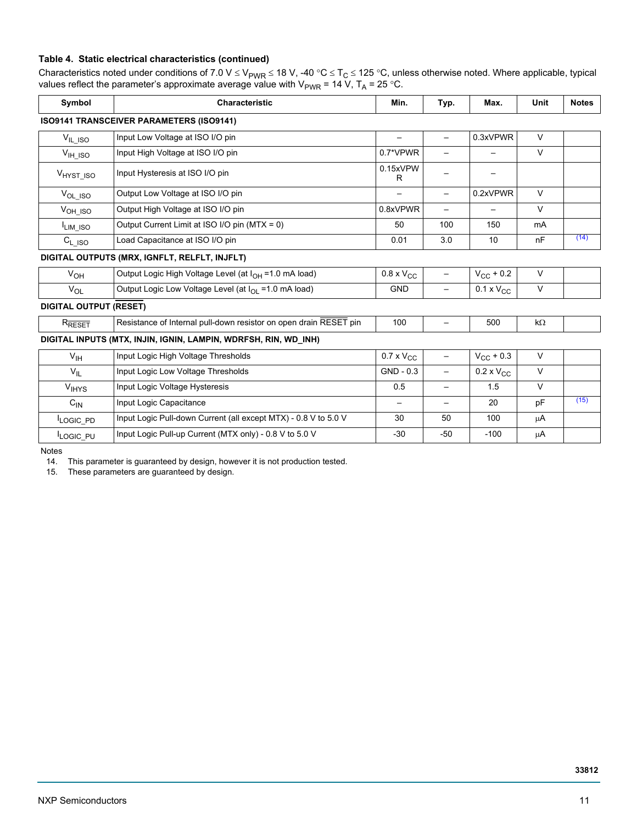#### **Table 4. Static electrical characteristics (continued)**

Characteristics noted under conditions of 7.0 V  $\leq$  V<sub>PWR</sub>  $\leq$  18 V, -40 °C  $\leq$  T<sub>C</sub>  $\leq$  125 °C, unless otherwise noted. Where applicable, typical values reflect the parameter's approximate average value with V<sub>PWR</sub> = 14 V, T<sub>A</sub> = 25 °C.

| Symbol<br><b>Characteristic</b> |                                                                    | Min.                         | Typ.                     | Max.                     | Unit      | <b>Notes</b> |
|---------------------------------|--------------------------------------------------------------------|------------------------------|--------------------------|--------------------------|-----------|--------------|
|                                 | <b>ISO9141 TRANSCEIVER PARAMETERS (ISO9141)</b>                    |                              |                          |                          |           |              |
| $V_{IL\_ISO}$                   | Input Low Voltage at ISO I/O pin                                   |                              | $\overline{\phantom{0}}$ | 0.3xVPWR                 | $\vee$    |              |
| $V_{\text{IH}}$ iso             | Input High Voltage at ISO I/O pin                                  | 0.7*VPWR                     |                          |                          | $\vee$    |              |
| V <sub>HYST ISO</sub>           | Input Hysteresis at ISO I/O pin                                    | 0.15xVPW<br>R                |                          | $\overline{\phantom{0}}$ |           |              |
| $V_{OL\_ISO}$                   | Output Low Voltage at ISO I/O pin                                  | —                            | $\overline{\phantom{0}}$ | 0.2xVPWR                 | $\vee$    |              |
| $V_{OH\_ISO}$                   | Output High Voltage at ISO I/O pin                                 | 0.8xVPWR                     | $\overline{\phantom{0}}$ | $\overline{\phantom{0}}$ | $\vee$    |              |
| LIM_ISO                         | Output Current Limit at ISO I/O pin (MTX = 0)                      | 50                           | 100                      | 150                      | mA        |              |
| $C_{L\_ISO}$                    | Load Capacitance at ISO I/O pin                                    | 0.01                         | 3.0                      | 10                       | nF        | (14)         |
|                                 | DIGITAL OUTPUTS (MRX, IGNFLT, RELFLT, INJFLT)                      |                              |                          |                          |           |              |
| $V_{OH}$                        | Output Logic High Voltage Level (at I <sub>OH</sub> = 1.0 mA load) | $0.8 \times V_{CC}$          | $\qquad \qquad -$        | $V_{\rm CC}$ + 0.2       | $\vee$    |              |
| $V_{OL}$                        | Output Logic Low Voltage Level (at I <sub>OL</sub> = 1.0 mA load)  | <b>GND</b>                   |                          | $0.1 \times V_{CC}$      | $\vee$    |              |
| <b>DIGITAL OUTPUT (RESET)</b>   |                                                                    |                              |                          |                          |           |              |
| $R_{\overline{\text{REST}}}$    | Resistance of Internal pull-down resistor on open drain RESET pin  | 100                          | —                        | 500                      | $k\Omega$ |              |
|                                 | DIGITAL INPUTS (MTX, INJIN, IGNIN, LAMPIN, WDRFSH, RIN, WD_INH)    |                              |                          |                          |           |              |
| $V_{\text{IH}}$                 | Input Logic High Voltage Thresholds                                | $0.7 \times V_{CC}$          | $\qquad \qquad -$        | $V_{\text{CC}} + 0.3$    | $\vee$    |              |
| $V_{IL}$                        | Input Logic Low Voltage Thresholds                                 | $GND - 0.3$                  |                          | $0.2 \times V_{CC}$      | $\vee$    |              |
| <b>V<sub>IHYS</sub></b>         | Input Logic Voltage Hysteresis                                     | 0.5                          | $\qquad \qquad -$        | 1.5                      | $\vee$    |              |
| $C_{\text{IN}}$                 | Input Logic Capacitance                                            | $\qquad \qquad \blacksquare$ |                          | 20                       | pF        | (15)         |

 $I_{LOGIC\_PD}$  | Input Logic Pull-down Current (all except MTX) - 0.8 V to 5.0 V  $\qquad$  30  $\qquad$  50 100  $\qquad$  µA  $I_{LOGIC\_PU}$  | Input Logic Pull-up Current (MTX only) - 0.8 V to 5.0 V  $\qquad$  -30 -50 -50 -100  $\qquad \mu A$ 

Notes

<span id="page-10-0"></span>14. This parameter is guaranteed by design, however it is not production tested.

<span id="page-10-1"></span>15. These parameters are guaranteed by design.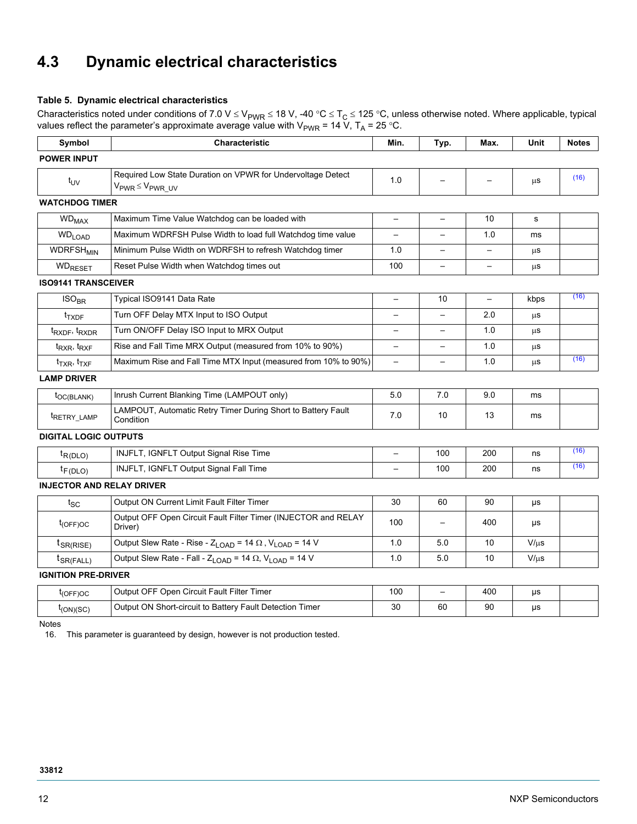# <span id="page-11-0"></span>**4.3 Dynamic electrical characteristics**

#### **Table 5. Dynamic electrical characteristics**

Characteristics noted under conditions of 7.0 V  $\leq$  V<sub>PWR</sub>  $\leq$  18 V, -40 °C  $\leq$  T<sub>C</sub>  $\leq$  125 °C, unless otherwise noted. Where applicable, typical values reflect the parameter's approximate average value with  $\rm V_{PWR}$  = 14 V, T<sub>A</sub> = 25 °C.

| Symbol<br>Characteristic                                                                                             |                                                                                      | Min.                     | Typ.                     | Max.                     | Unit      | <b>Notes</b> |
|----------------------------------------------------------------------------------------------------------------------|--------------------------------------------------------------------------------------|--------------------------|--------------------------|--------------------------|-----------|--------------|
| <b>POWER INPUT</b>                                                                                                   |                                                                                      |                          |                          |                          |           |              |
| Required Low State Duration on VPWR for Undervoltage Detect<br>$t_{UV}$<br>$V_{PWR} \leq V_{PWR}$ UV                 |                                                                                      | 1.0                      |                          |                          | μS        | (16)         |
| <b>WATCHDOG TIMER</b>                                                                                                |                                                                                      |                          |                          |                          |           |              |
| <b>WD<sub>MAX</sub></b>                                                                                              | Maximum Time Value Watchdog can be loaded with                                       | $\qquad \qquad -$        | $\overline{\phantom{0}}$ | 10                       | s         |              |
| <b>WD<sub>LOAD</sub></b>                                                                                             | Maximum WDRFSH Pulse Width to load full Watchdog time value                          | $\qquad \qquad -$        |                          | 1.0                      | ms        |              |
| <b>WDRFSH<sub>MIN</sub></b>                                                                                          | Minimum Pulse Width on WDRFSH to refresh Watchdog timer                              | 1.0                      |                          |                          | μS        |              |
| <b>WDRESET</b>                                                                                                       | Reset Pulse Width when Watchdog times out                                            | 100                      |                          | $\overline{\phantom{0}}$ | $\mu$ S   |              |
| <b>ISO9141 TRANSCEIVER</b>                                                                                           |                                                                                      |                          |                          |                          |           |              |
| ISO <sub>BR</sub>                                                                                                    | Typical ISO9141 Data Rate                                                            | $\overline{\phantom{0}}$ | 10                       | $\overline{\phantom{0}}$ | kbps      | (16)         |
| $t_{TXDF}$                                                                                                           | Turn OFF Delay MTX Input to ISO Output                                               |                          |                          | 2.0                      | $\mu$ S   |              |
| Turn ON/OFF Delay ISO Input to MRX Output<br>$t_{\text{RXDF}}$ , $t_{\text{RXDR}}$                                   |                                                                                      | $\overline{\phantom{0}}$ | $\overline{\phantom{0}}$ | 1.0                      | $\mu$ S   |              |
| Rise and Fall Time MRX Output (measured from 10% to 90%)<br>$t_{RXR}$ , $t_{RXF}$                                    |                                                                                      |                          |                          | 1.0                      | μS        |              |
| $t_{TXR}$ , $t_{TXF}$                                                                                                | Maximum Rise and Fall Time MTX Input (measured from 10% to 90%)                      | $\overline{\phantom{0}}$ | $\overline{\phantom{0}}$ | 1.0                      | $\mu$ s   | (16)         |
| <b>LAMP DRIVER</b>                                                                                                   |                                                                                      |                          |                          |                          |           |              |
| $t_{OC(BLANK)}$                                                                                                      | Inrush Current Blanking Time (LAMPOUT only)                                          | 5.0                      | 7.0                      | 9.0                      | ms        |              |
| t <sub>RETRY_LAMP</sub>                                                                                              | LAMPOUT, Automatic Retry Timer During Short to Battery Fault<br>Condition            | 7.0                      | 10                       | 13                       | ms        |              |
| <b>DIGITAL LOGIC OUTPUTS</b>                                                                                         |                                                                                      |                          |                          |                          |           |              |
| $t_{R(DLO)}$                                                                                                         | INJFLT, IGNFLT Output Signal Rise Time                                               | $\overline{\phantom{0}}$ | 100                      | 200                      | ns        | (16)         |
| $t_{F(DLO)}$                                                                                                         | INJFLT, IGNFLT Output Signal Fall Time                                               |                          | 100                      | 200                      | ns        | (16)         |
| <b>INJECTOR AND RELAY DRIVER</b>                                                                                     |                                                                                      |                          |                          |                          |           |              |
| $t_{SC}$                                                                                                             | Output ON Current Limit Fault Filter Timer                                           | 30                       | 60                       | 90                       | μs        |              |
| $t_{(OFF)OC}$                                                                                                        | Output OFF Open Circuit Fault Filter Timer (INJECTOR and RELAY<br>Driver)            | 100                      |                          | 400                      | μs        |              |
| $t_{\text{SR(RISE)}}$                                                                                                | Output Slew Rate - Rise - $Z_{\text{LOAD}}$ = 14 $\Omega$ , $V_{\text{LOAD}}$ = 14 V | 1.0                      | 5.0                      | 10                       | $V/\mu s$ |              |
| Output Slew Rate - Fall - $Z_{\text{LOAD}}$ = 14 $\Omega$ , $V_{\text{LOAD}}$ = 14 V<br>$t_{\text{SR}(\text{FALL})}$ |                                                                                      | 1.0                      | 5.0                      | 10                       | $V/\mu s$ |              |
| <b>IGNITION PRE-DRIVER</b>                                                                                           |                                                                                      |                          |                          |                          |           |              |
| $t_{(OFF)OC}$                                                                                                        | Output OFF Open Circuit Fault Filter Timer                                           | 100                      | $\equiv$                 | 400                      | μs        |              |
| $t_{(ON)(SC)}$                                                                                                       | Output ON Short-circuit to Battery Fault Detection Timer                             | 30                       | 60                       | 90                       | μs        |              |
|                                                                                                                      |                                                                                      |                          |                          |                          |           |              |

Notes

<span id="page-11-1"></span>16. This parameter is guaranteed by design, however is not production tested.

#### **33812**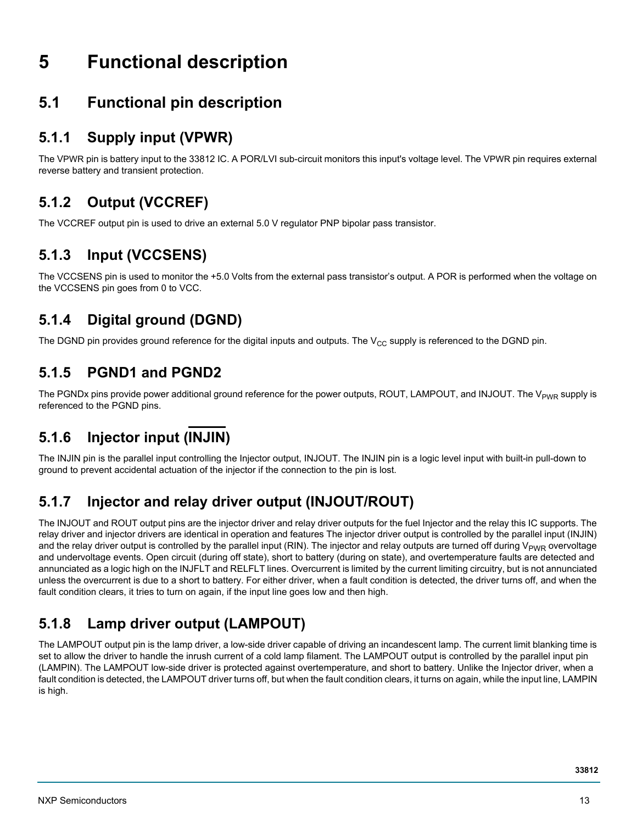# <span id="page-12-0"></span>**5 Functional description**

## <span id="page-12-1"></span>**5.1 Functional pin description**

### **5.1.1 Supply input (VPWR)**

The VPWR pin is battery input to the 33812 IC. A POR/LVI sub-circuit monitors this input's voltage level. The VPWR pin requires external reverse battery and transient protection.

### **5.1.2 Output (VCCREF)**

The VCCREF output pin is used to drive an external 5.0 V regulator PNP bipolar pass transistor.

### **5.1.3 Input (VCCSENS)**

The VCCSENS pin is used to monitor the +5.0 Volts from the external pass transistor's output. A POR is performed when the voltage on the VCCSENS pin goes from 0 to VCC.

### **5.1.4 Digital ground (DGND)**

The DGND pin provides ground reference for the digital inputs and outputs. The  $V_{CC}$  supply is referenced to the DGND pin.

### **5.1.5 PGND1 and PGND2**

The PGNDx pins provide power additional ground reference for the power outputs, ROUT, LAMPOUT, and INJOUT. The V<sub>PWR</sub> supply is referenced to the PGND pins.

### **5.1.6 Injector input (INJIN)**

The INJIN pin is the parallel input controlling the Injector output, INJOUT. The INJIN pin is a logic level input with built-in pull-down to ground to prevent accidental actuation of the injector if the connection to the pin is lost.

### **5.1.7 Injector and relay driver output (INJOUT/ROUT)**

The INJOUT and ROUT output pins are the injector driver and relay driver outputs for the fuel Injector and the relay this IC supports. The relay driver and injector drivers are identical in operation and features The injector driver output is controlled by the parallel input (INJIN) and the relay driver output is controlled by the parallel input (RIN). The injector and relay outputs are turned off during  $V_{PMR}$  overvoltage and undervoltage events. Open circuit (during off state), short to battery (during on state), and overtemperature faults are detected and annunciated as a logic high on the INJFLT and RELFLT lines. Overcurrent is limited by the current limiting circuitry, but is not annunciated unless the overcurrent is due to a short to battery. For either driver, when a fault condition is detected, the driver turns off, and when the fault condition clears, it tries to turn on again, if the input line goes low and then high.

## **5.1.8 Lamp driver output (LAMPOUT)**

The LAMPOUT output pin is the lamp driver, a low-side driver capable of driving an incandescent lamp. The current limit blanking time is set to allow the driver to handle the inrush current of a cold lamp filament. The LAMPOUT output is controlled by the parallel input pin (LAMPIN). The LAMPOUT low-side driver is protected against overtemperature, and short to battery. Unlike the Injector driver, when a fault condition is detected, the LAMPOUT driver turns off, but when the fault condition clears, it turns on again, while the input line, LAMPIN is high.

**33812**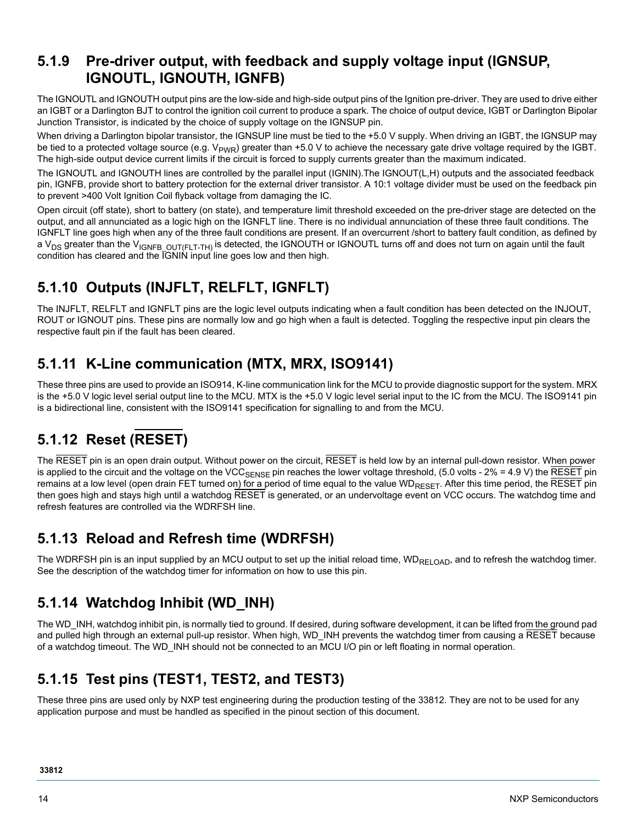#### **5.1.9 Pre-driver output, with feedback and supply voltage input (IGNSUP, IGNOUTL, IGNOUTH, IGNFB)**

The IGNOUTL and IGNOUTH output pins are the low-side and high-side output pins of the Ignition pre-driver. They are used to drive either an IGBT or a Darlington BJT to control the ignition coil current to produce a spark. The choice of output device, IGBT or Darlington Bipolar Junction Transistor, is indicated by the choice of supply voltage on the IGNSUP pin.

When driving a Darlington bipolar transistor, the IGNSUP line must be tied to the +5.0 V supply. When driving an IGBT, the IGNSUP may be tied to a protected voltage source (e.g.  $V_{PWR}$ ) greater than +5.0 V to achieve the necessary gate drive voltage required by the IGBT. The high-side output device current limits if the circuit is forced to supply currents greater than the maximum indicated.

The IGNOUTL and IGNOUTH lines are controlled by the parallel input (IGNIN).The IGNOUT(L,H) outputs and the associated feedback pin, IGNFB, provide short to battery protection for the external driver transistor. A 10:1 voltage divider must be used on the feedback pin to prevent >400 Volt Ignition Coil flyback voltage from damaging the IC.

Open circuit (off state), short to battery (on state), and temperature limit threshold exceeded on the pre-driver stage are detected on the output, and all annunciated as a logic high on the IGNFLT line. There is no individual annunciation of these three fault conditions. The IGNFLT line goes high when any of the three fault conditions are present. If an overcurrent /short to battery fault condition, as defined by a V<sub>DS</sub> greater than the V<sub>IGNFB</sub> <sub>OUT(FLT-TH)</sub> is detected, the IGNOUTH or IGNOUTL turns off and does not turn on again until the fault condition has cleared and the IGNIN input line goes low and then high.

## **5.1.10 Outputs (INJFLT, RELFLT, IGNFLT)**

The INJFLT, RELFLT and IGNFLT pins are the logic level outputs indicating when a fault condition has been detected on the INJOUT, ROUT or IGNOUT pins. These pins are normally low and go high when a fault is detected. Toggling the respective input pin clears the respective fault pin if the fault has been cleared.

### **5.1.11 K-Line communication (MTX, MRX, ISO9141)**

These three pins are used to provide an ISO914, K-line communication link for the MCU to provide diagnostic support for the system. MRX is the +5.0 V logic level serial output line to the MCU. MTX is the +5.0 V logic level serial input to the IC from the MCU. The ISO9141 pin is a bidirectional line, consistent with the ISO9141 specification for signalling to and from the MCU.

# **5.1.12 Reset (RESET)**

The RESET pin is an open drain output. Without power on the circuit, RESET is held low by an internal pull-down resistor. When power is applied to the circuit and the voltage on the VCC<sub>SENSE</sub> pin reaches the lower voltage threshold, (5.0 volts - 2% = 4.9 V) the RESET pin remains at a low level (open drain FET turned on) for a period of time equal to the value WD<sub>RESET</sub>. After this time period, the RESET pin then goes high and stays high until a watchdog RESET is generated, or an undervoltage event on VCC occurs. The watchdog time and refresh features are controlled via the WDRFSH line.

### **5.1.13 Reload and Refresh time (WDRFSH)**

The WDRFSH pin is an input supplied by an MCU output to set up the initial reload time,  $WD_{RELOAD}$ , and to refresh the watchdog timer. See the description of the watchdog timer for information on how to use this pin.

### **5.1.14 Watchdog Inhibit (WD\_INH)**

The WD\_INH, watchdog inhibit pin, is normally tied to ground. If desired, during software development, it can be lifted from the ground pad and pulled high through an external pull-up resistor. When high, WD\_INH prevents the watchdog timer from causing a RESET because of a watchdog timeout. The WD\_INH should not be connected to an MCU I/O pin or left floating in normal operation.

### **5.1.15 Test pins (TEST1, TEST2, and TEST3)**

These three pins are used only by NXP test engineering during the production testing of the 33812. They are not to be used for any application purpose and must be handled as specified in the pinout section of this document.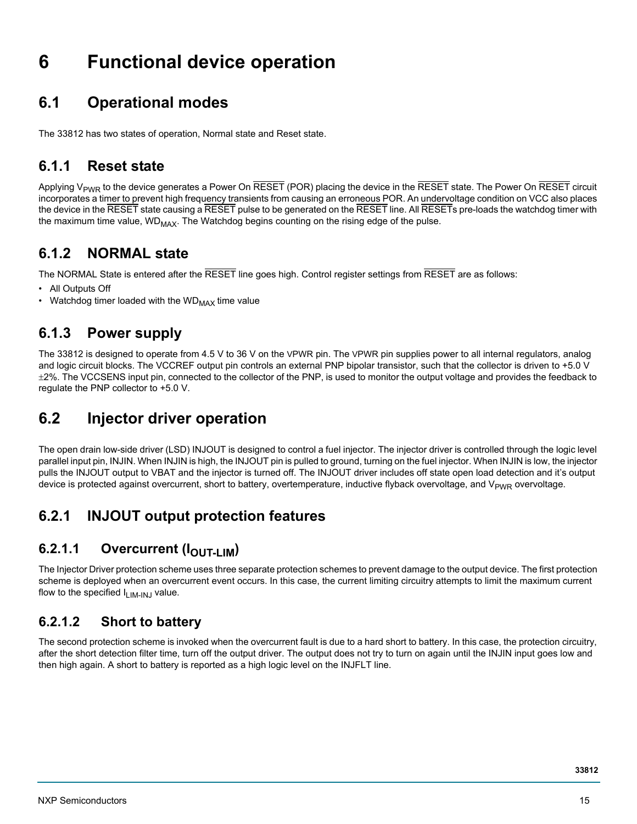# <span id="page-14-1"></span>**6 Functional device operation**

## <span id="page-14-2"></span>**6.1 Operational modes**

The 33812 has two states of operation, Normal state and Reset state.

### **6.1.1 Reset state**

Applying V<sub>PWR</sub> to the device generates a Power On RESET (POR) placing the device in the RESET state. The Power On RESET circuit incorporates a timer to prevent high frequency transients from causing an erroneous POR. An undervoltage condition on VCC also places the device in the RESET state causing a RESET pulse to be generated on the RESET line. All RESETs pre-loads the watchdog timer with the maximum time value,  $WD_{MAX}$ . The Watchdog begins counting on the rising edge of the pulse.

### **6.1.2 NORMAL state**

The NORMAL State is entered after the RESET line goes high. Control register settings from RESET are as follows:

- All Outputs Off
- Watchdog timer loaded with the  $WD_{MAX}$  time value

#### **6.1.3 Power supply**

The 33812 is designed to operate from 4.5 V to 36 V on the VPWR pin. The VPWR pin supplies power to all internal regulators, analog and logic circuit blocks. The VCCREF output pin controls an external PNP bipolar transistor, such that the collector is driven to +5.0 V  $\pm 2\%$ . The VCCSENS input pin, connected to the collector of the PNP, is used to monitor the output voltage and provides the feedback to regulate the PNP collector to +5.0 V.

### <span id="page-14-0"></span>**6.2 Injector driver operation**

The open drain low-side driver (LSD) INJOUT is designed to control a fuel injector. The injector driver is controlled through the logic level parallel input pin, INJIN. When INJIN is high, the INJOUT pin is pulled to ground, turning on the fuel injector. When INJIN is low, the injector pulls the INJOUT output to VBAT and the injector is turned off. The INJOUT driver includes off state open load detection and it's output device is protected against overcurrent, short to battery, overtemperature, inductive flyback overvoltage, and V<sub>PWR</sub> overvoltage.

### **6.2.1 INJOUT output protection features**

### **6.2.1.1 Overcurrent (IOUT-LIM)**

The Injector Driver protection scheme uses three separate protection schemes to prevent damage to the output device. The first protection scheme is deployed when an overcurrent event occurs. In this case, the current limiting circuitry attempts to limit the maximum current flow to the specified  $I_{LIM-IM,J}$  value.

#### **6.2.1.2 Short to battery**

The second protection scheme is invoked when the overcurrent fault is due to a hard short to battery. In this case, the protection circuitry, after the short detection filter time, turn off the output driver. The output does not try to turn on again until the INJIN input goes low and then high again. A short to battery is reported as a high logic level on the INJFLT line.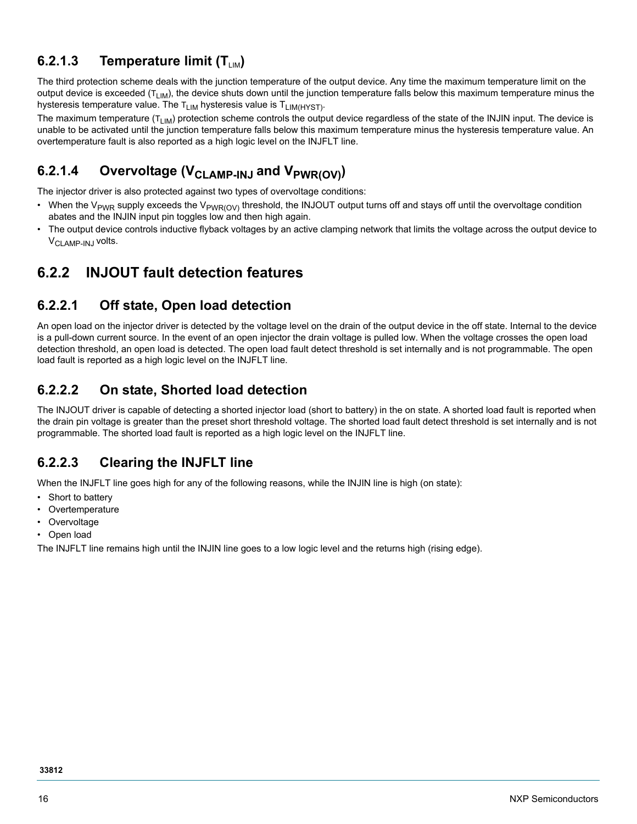#### **6.2.1.3** Temperature limit (T<sub>LIM</sub>)

The third protection scheme deals with the junction temperature of the output device. Any time the maximum temperature limit on the output device is exceeded  $(T_{LM})$ , the device shuts down until the junction temperature falls below this maximum temperature minus the hysteresis temperature value. The  $T_{LIM}$  hysteresis value is  $T_{LIM(HYST)}$ .

The maximum temperature ( $T_{LIM}$ ) protection scheme controls the output device regardless of the state of the INJIN input. The device is unable to be activated until the junction temperature falls below this maximum temperature minus the hysteresis temperature value. An overtemperature fault is also reported as a high logic level on the INJFLT line.

### 6.2.1.4 Overvoltage (V<sub>CLAMP-INJ</sub> and V<sub>PWR(OV)</sub>)

The injector driver is also protected against two types of overvoltage conditions:

- When the V<sub>PWR</sub> supply exceeds the V<sub>PWR(OV)</sub> threshold, the INJOUT output turns off and stays off until the overvoltage condition abates and the INJIN input pin toggles low and then high again.
- The output device controls inductive flyback voltages by an active clamping network that limits the voltage across the output device to V<sub>CLAMP-INJ</sub> volts.

### **6.2.2 INJOUT fault detection features**

#### **6.2.2.1 Off state, Open load detection**

An open load on the injector driver is detected by the voltage level on the drain of the output device in the off state. Internal to the device is a pull-down current source. In the event of an open injector the drain voltage is pulled low. When the voltage crosses the open load detection threshold, an open load is detected. The open load fault detect threshold is set internally and is not programmable. The open load fault is reported as a high logic level on the INJFLT line.

#### **6.2.2.2 On state, Shorted load detection**

The INJOUT driver is capable of detecting a shorted injector load (short to battery) in the on state. A shorted load fault is reported when the drain pin voltage is greater than the preset short threshold voltage. The shorted load fault detect threshold is set internally and is not programmable. The shorted load fault is reported as a high logic level on the INJFLT line.

#### **6.2.2.3 Clearing the INJFLT line**

When the INJFLT line goes high for any of the following reasons, while the INJIN line is high (on state):

- Short to battery
- Overtemperature
- **Overvoltage**
- Open load

The INJFLT line remains high until the INJIN line goes to a low logic level and the returns high (rising edge).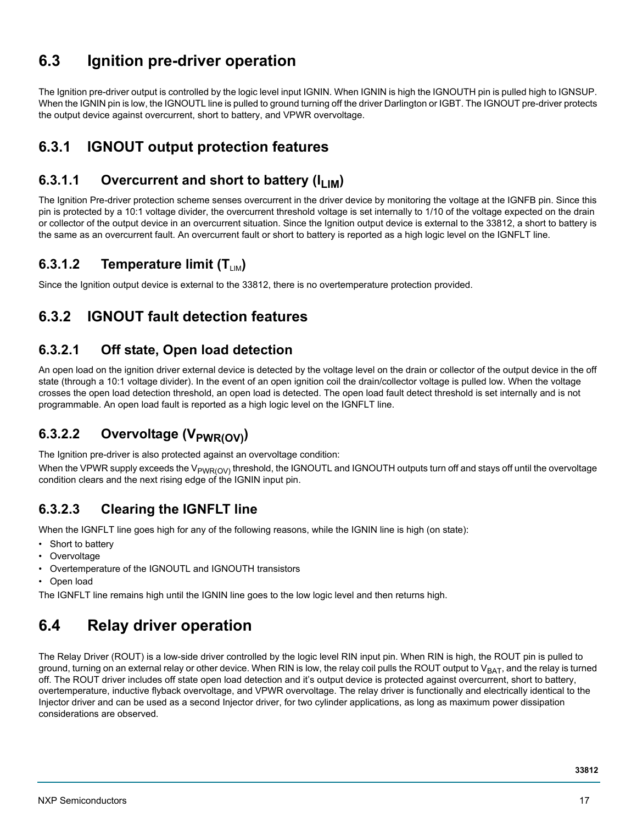## <span id="page-16-0"></span>**6.3 Ignition pre-driver operation**

The Ignition pre-driver output is controlled by the logic level input IGNIN. When IGNIN is high the IGNOUTH pin is pulled high to IGNSUP. When the IGNIN pin is low, the IGNOUTL line is pulled to ground turning off the driver Darlington or IGBT. The IGNOUT pre-driver protects the output device against overcurrent, short to battery, and VPWR overvoltage.

### **6.3.1 IGNOUT output protection features**

#### **6.3.1.1 Overcurrent and short to battery (I<sub>LIM</sub>)**

The Ignition Pre-driver protection scheme senses overcurrent in the driver device by monitoring the voltage at the IGNFB pin. Since this pin is protected by a 10:1 voltage divider, the overcurrent threshold voltage is set internally to 1/10 of the voltage expected on the drain or collector of the output device in an overcurrent situation. Since the Ignition output device is external to the 33812, a short to battery is the same as an overcurrent fault. An overcurrent fault or short to battery is reported as a high logic level on the IGNFLT line.

#### **6.3.1.2** Temperature limit (T<sub>LIM</sub>)

Since the Ignition output device is external to the 33812, there is no overtemperature protection provided.

### **6.3.2 IGNOUT fault detection features**

#### **6.3.2.1 Off state, Open load detection**

An open load on the ignition driver external device is detected by the voltage level on the drain or collector of the output device in the off state (through a 10:1 voltage divider). In the event of an open ignition coil the drain/collector voltage is pulled low. When the voltage crosses the open load detection threshold, an open load is detected. The open load fault detect threshold is set internally and is not programmable. An open load fault is reported as a high logic level on the IGNFLT line.

### **6.3.2.2 Overvoltage (V<sub>PWR(OV)</sub>)**

The Ignition pre-driver is also protected against an overvoltage condition:

When the VPWR supply exceeds the V<sub>PWR(OV)</sub> threshold, the IGNOUTL and IGNOUTH outputs turn off and stays off until the overvoltage condition clears and the next rising edge of the IGNIN input pin.

#### **6.3.2.3 Clearing the IGNFLT line**

When the IGNFLT line goes high for any of the following reasons, while the IGNIN line is high (on state):

- Short to battery
- Overvoltage
- Overtemperature of the IGNOUTL and IGNOUTH transistors
- Open load

The IGNFLT line remains high until the IGNIN line goes to the low logic level and then returns high.

## <span id="page-16-1"></span>**6.4 Relay driver operation**

The Relay Driver (ROUT) is a low-side driver controlled by the logic level RIN input pin. When RIN is high, the ROUT pin is pulled to ground, turning on an external relay or other device. When RIN is low, the relay coil pulls the ROUT output to  $V_{BAT}$ , and the relay is turned off. The ROUT driver includes off state open load detection and it's output device is protected against overcurrent, short to battery, overtemperature, inductive flyback overvoltage, and VPWR overvoltage. The relay driver is functionally and electrically identical to the Injector driver and can be used as a second Injector driver, for two cylinder applications, as long as maximum power dissipation considerations are observed.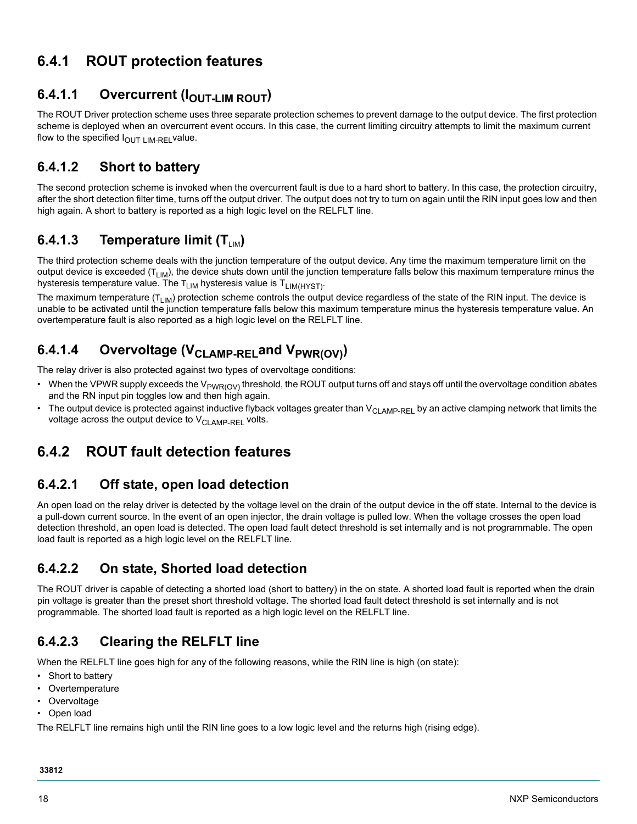### **6.4.1 ROUT protection features**

#### **6.4.1.1 Overcurrent (IOUT-LIM ROUT)**

The ROUT Driver protection scheme uses three separate protection schemes to prevent damage to the output device. The first protection scheme is deployed when an overcurrent event occurs. In this case, the current limiting circuitry attempts to limit the maximum current flow to the specified  $I_{\text{OUT LIM-REL}}$  value.

#### **6.4.1.2 Short to battery**

The second protection scheme is invoked when the overcurrent fault is due to a hard short to battery. In this case, the protection circuitry, after the short detection filter time, turns off the output driver. The output does not try to turn on again until the RIN input goes low and then high again. A short to battery is reported as a high logic level on the RELFLT line.

#### **6.4.1.3** Temperature limit (T<sub>LM</sub>)

The third protection scheme deals with the junction temperature of the output device. Any time the maximum temperature limit on the output device is exceeded  $(T_{LIM})$ , the device shuts down until the junction temperature falls below this maximum temperature minus the hysteresis temperature value. The  $T_{LIM}$  hysteresis value is  $T_{LIM(HYST)}$ .

The maximum temperature ( $T_{LIM}$ ) protection scheme controls the output device regardless of the state of the RIN input. The device is unable to be activated until the junction temperature falls below this maximum temperature minus the hysteresis temperature value. An overtemperature fault is also reported as a high logic level on the RELFLT line.

### 6.4.1.4 Overvoltage (V<sub>CLAMP-REL</sub>and V<sub>PWR(OV)</sub>)

The relay driver is also protected against two types of overvoltage conditions:

- When the VPWR supply exceeds the V<sub>PWR(OV)</sub> threshold, the ROUT output turns off and stays off until the overvoltage condition abates and the RN input pin toggles low and then high again.
- The output device is protected against inductive flyback voltages greater than  $V_{\text{Cl AMP-RFL}}$  by an active clamping network that limits the voltage across the output device to  $V_{\text{CI AMP-RFI}}$  volts.

### **6.4.2 ROUT fault detection features**

#### **6.4.2.1 Off state, open load detection**

An open load on the relay driver is detected by the voltage level on the drain of the output device in the off state. Internal to the device is a pull-down current source. In the event of an open injector, the drain voltage is pulled low. When the voltage crosses the open load detection threshold, an open load is detected. The open load fault detect threshold is set internally and is not programmable. The open load fault is reported as a high logic level on the RELFLT line.

#### **6.4.2.2 On state, Shorted load detection**

The ROUT driver is capable of detecting a shorted load (short to battery) in the on state. A shorted load fault is reported when the drain pin voltage is greater than the preset short threshold voltage. The shorted load fault detect threshold is set internally and is not programmable. The shorted load fault is reported as a high logic level on the RELFLT line.

#### **6.4.2.3 Clearing the RELFLT line**

When the RELFLT line goes high for any of the following reasons, while the RIN line is high (on state):

- Short to battery
- Overtemperature
- Overvoltage
- Open load

The RELFLT line remains high until the RIN line goes to a low logic level and the returns high (rising edge).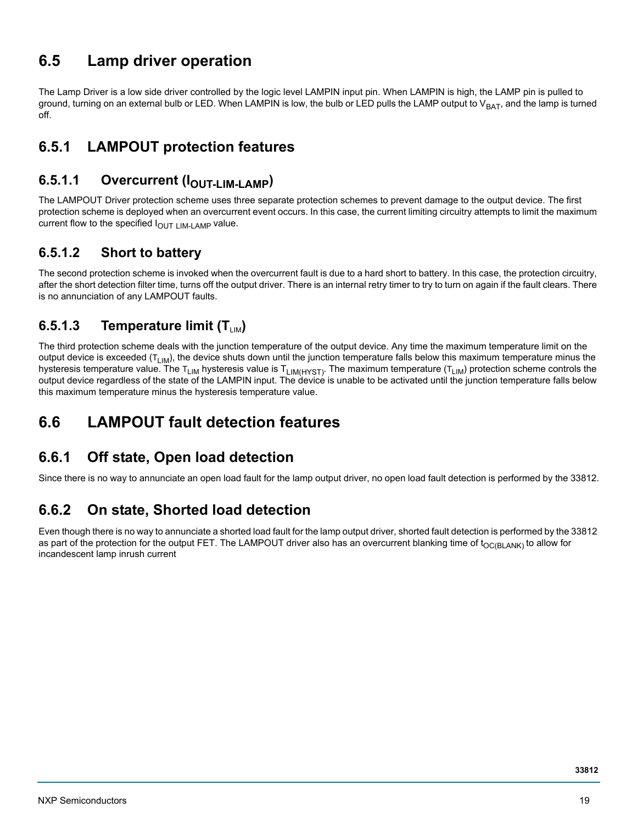### <span id="page-18-0"></span>**6.5 Lamp driver operation**

The Lamp Driver is a low side driver controlled by the logic level LAMPIN input pin. When LAMPIN is high, the LAMP pin is pulled to ground, turning on an external bulb or LED. When LAMPIN is low, the bulb or LED pulls the LAMP output to  $V_{BAT}$ , and the lamp is turned off.

### **6.5.1 LAMPOUT protection features**

### **6.5.1.1 Overcurrent (IOUT-LIM-LAMP)**

The LAMPOUT Driver protection scheme uses three separate protection schemes to prevent damage to the output device. The first protection scheme is deployed when an overcurrent event occurs. In this case, the current limiting circuitry attempts to limit the maximum current flow to the specified  $I<sub>OUT LIM-LAMP</sub>$  value.

#### **6.5.1.2 Short to battery**

The second protection scheme is invoked when the overcurrent fault is due to a hard short to battery. In this case, the protection circuitry, after the short detection filter time, turns off the output driver. There is an internal retry timer to try to turn on again if the fault clears. There is no annunciation of any LAMPOUT faults.

#### **6.5.1.3** Temperature limit (T<sub>LM</sub>)

The third protection scheme deals with the junction temperature of the output device. Any time the maximum temperature limit on the output device is exceeded  $(T_{LIM})$ , the device shuts down until the junction temperature falls below this maximum temperature minus the hysteresis temperature value. The T<sub>LIM</sub> hysteresis value is T<sub>LIM(HYST)</sub>. The maximum temperature (T<sub>LIM</sub>) protection scheme controls the output device regardless of the state of the LAMPIN input. The device is unable to be activated until the junction temperature falls below this maximum temperature minus the hysteresis temperature value.

### <span id="page-18-1"></span>**6.6 LAMPOUT fault detection features**

### **6.6.1 Off state, Open load detection**

Since there is no way to annunciate an open load fault for the lamp output driver, no open load fault detection is performed by the 33812.

### **6.6.2 On state, Shorted load detection**

Even though there is no way to annunciate a shorted load fault for the lamp output driver, shorted fault detection is performed by the 33812 as part of the protection for the output FET. The LAMPOUT driver also has an overcurrent blanking time of  $t_{OCBLANK}$  to allow for incandescent lamp inrush current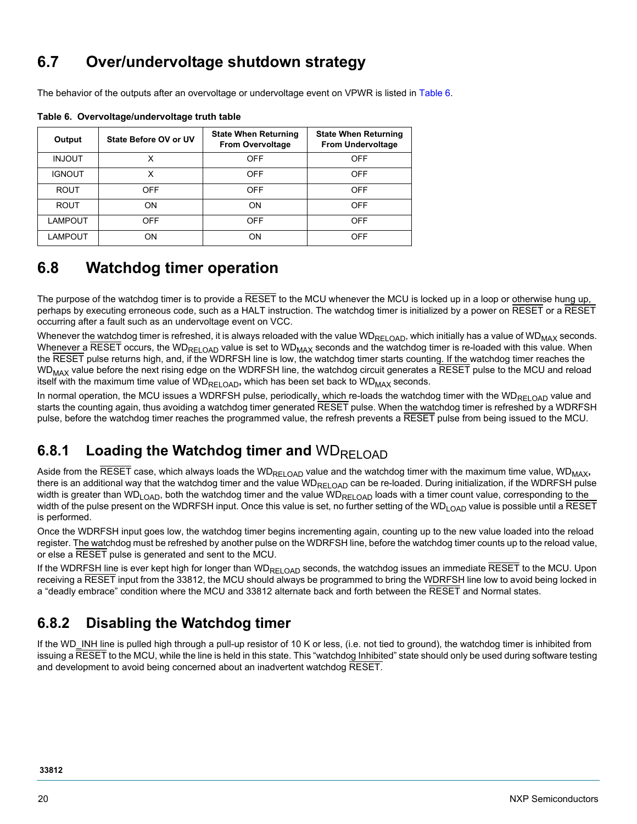## <span id="page-19-0"></span>**6.7 Over/undervoltage shutdown strategy**

The behavior of the outputs after an overvoltage or undervoltage event on VPWR is listed in [Table](#page-19-2) 6.

| Output         | State Before OV or UV | <b>State When Returning</b><br><b>From Overvoltage</b> | <b>State When Returning</b><br><b>From Undervoltage</b> |
|----------------|-----------------------|--------------------------------------------------------|---------------------------------------------------------|
| <b>INJOUT</b>  | x                     | <b>OFF</b>                                             | <b>OFF</b>                                              |
| <b>IGNOUT</b>  | x                     | <b>OFF</b>                                             | <b>OFF</b>                                              |
| <b>ROUT</b>    | <b>OFF</b>            | <b>OFF</b>                                             | <b>OFF</b>                                              |
| <b>ROUT</b>    | ON                    | ON                                                     | <b>OFF</b>                                              |
| <b>LAMPOUT</b> | <b>OFF</b>            | OFF                                                    | <b>OFF</b>                                              |
| LAMPOUT        | ON                    | ON                                                     | <b>OFF</b>                                              |

<span id="page-19-2"></span>**Table 6. Overvoltage/undervoltage truth table**

### <span id="page-19-1"></span>**6.8 Watchdog timer operation**

The purpose of the watchdog timer is to provide a RESET to the MCU whenever the MCU is locked up in a loop or otherwise hung up, perhaps by executing erroneous code, such as a HALT instruction. The watchdog timer is initialized by a power on RESET or a RESET occurring after a fault such as an undervoltage event on VCC.

Whenever the watchdog timer is refreshed, it is always reloaded with the value WD<sub>RELOAD</sub>, which initially has a value of WD<sub>MAX</sub> seconds. Whenever a RESET occurs, the WD<sub>RELOAD</sub> value is set to WD<sub>MAX</sub> seconds and the watchdog timer is re-loaded with this value. When the RESET pulse returns high, and, if the WDRFSH line is low, the watchdog timer starts counting. If the watchdog timer reaches the  $WD_{MAX}$  value before the next rising edge on the WDRFSH line, the watchdog circuit generates a  $\overline{\text{RESET}}$  pulse to the MCU and reload itself with the maximum time value of WD<sub>RELOAD</sub>, which has been set back to WD<sub>MAX</sub> seconds.

In normal operation, the MCU issues a WDRFSH pulse, periodically, which re-loads the watchdog timer with the WD<sub>RELOAD</sub> value and starts the counting again, thus avoiding a watchdog timer generated RESET pulse. When the watchdog timer is refreshed by a WDRFSH pulse, before the watchdog timer reaches the programmed value, the refresh prevents a RESET pulse from being issued to the MCU.

### **6.8.1 Loading the Watchdog timer and WDRELOAD**

Aside from the RESET case, which always loads the WD<sub>RELOAD</sub> value and the watchdog timer with the maximum time value, WD<sub>MAX</sub>, there is an additional way that the watchdog timer and the value WD<sub>RELOAD</sub> can be re-loaded. During initialization, if the WDRFSH pulse width is greater than WD<sub>LOAD</sub>, both the watchdog timer and the value WD<sub>RELOAD</sub> loads with a timer count value, corresponding to the width of the pulse present on the WDRFSH input. Once this value is set, no further setting of the WD<sub>LOAD</sub> value is possible until a RESET is performed.

Once the WDRFSH input goes low, the watchdog timer begins incrementing again, counting up to the new value loaded into the reload register. The watchdog must be refreshed by another pulse on the WDRFSH line, before the watchdog timer counts up to the reload value, or else a RESET pulse is generated and sent to the MCU.

If the WDRFSH line is ever kept high for longer than WD<sub>RELOAD</sub> seconds, the watchdog issues an immediate RESET to the MCU. Upon receiving a RESET input from the 33812, the MCU should always be programmed to bring the WDRFSH line low to avoid being locked in a "deadly embrace" condition where the MCU and 33812 alternate back and forth between the RESET and Normal states.

### **6.8.2 Disabling the Watchdog timer**

If the WD\_INH line is pulled high through a pull-up resistor of 10 K or less, (i.e. not tied to ground), the watchdog timer is inhibited from issuing a RESET to the MCU, while the line is held in this state. This "watchdog Inhibited" state should only be used during software testing and development to avoid being concerned about an inadvertent watchdog RESET.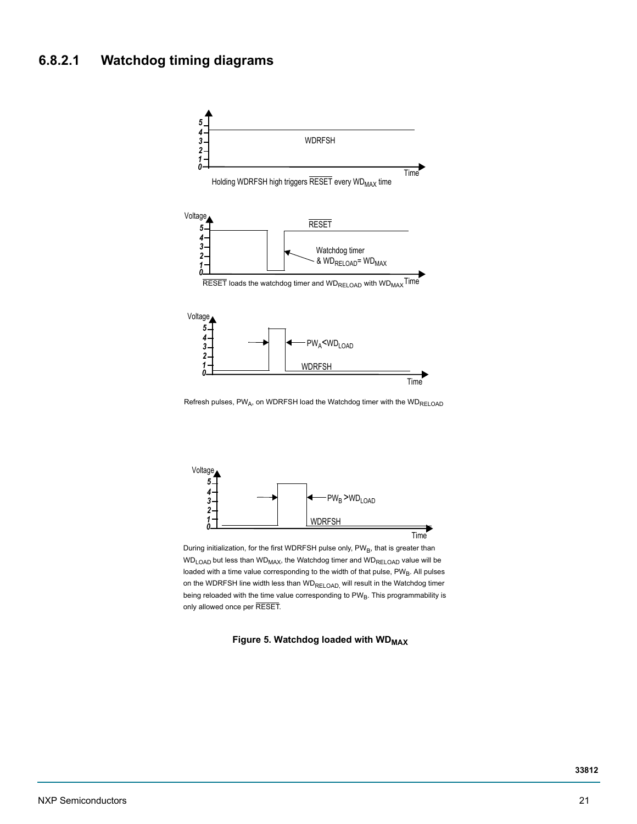#### **6.8.2.1 Watchdog timing diagrams**



Refresh pulses,  $PW_A$ , on WDRFSH load the Watchdog timer with the  $WD_{RELOAD}$ 



During initialization, for the first WDRFSH pulse only, PWB, that is greater than  $WD<sub>LOAD</sub>$  but less than  $WD<sub>MAX</sub>$ , the Watchdog timer and  $WD<sub>RELOAD</sub>$  value will be loaded with a time value corresponding to the width of that pulse,  $PW_B$ . All pulses on the WDRFSH line width less than WD<sub>RELOAD</sub>, will result in the Watchdog timer being reloaded with the time value corresponding to  $PW_B$ . This programmability is only allowed once per RESET.

**Figure 5. Watchdog loaded with WDMAX**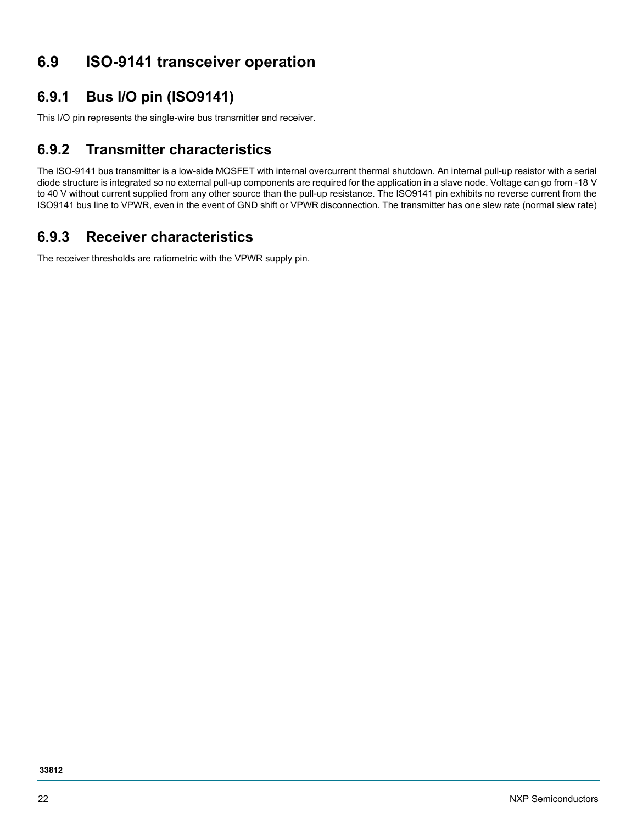## <span id="page-21-0"></span>**6.9 ISO-9141 transceiver operation**

### **6.9.1 Bus I/O pin (ISO9141)**

This I/O pin represents the single-wire bus transmitter and receiver.

#### **6.9.2 Transmitter characteristics**

The ISO-9141 bus transmitter is a low-side MOSFET with internal overcurrent thermal shutdown. An internal pull-up resistor with a serial diode structure is integrated so no external pull-up components are required for the application in a slave node. Voltage can go from -18 V to 40 V without current supplied from any other source than the pull-up resistance. The ISO9141 pin exhibits no reverse current from the ISO9141 bus line to VPWR, even in the event of GND shift or VPWR disconnection. The transmitter has one slew rate (normal slew rate)

### **6.9.3 Receiver characteristics**

The receiver thresholds are ratiometric with the VPWR supply pin.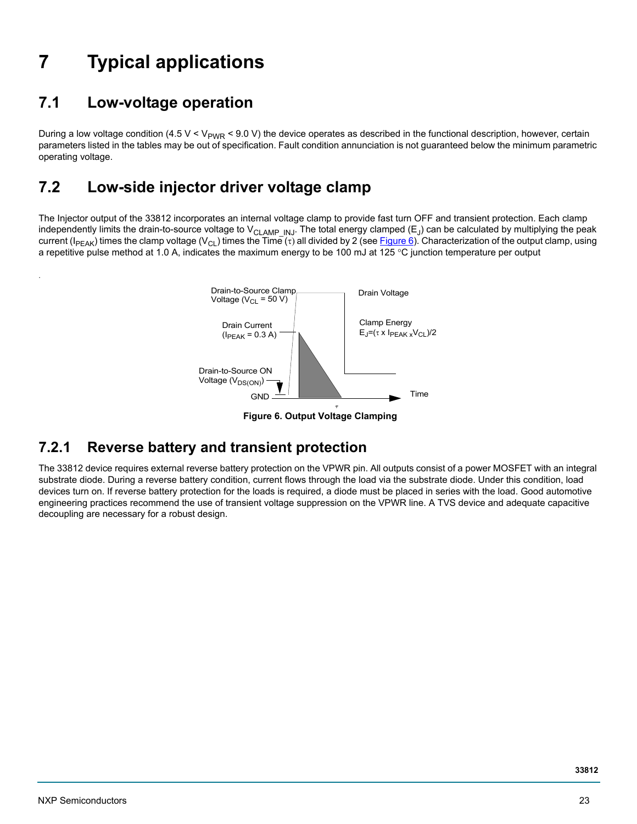# <span id="page-22-1"></span>**7 Typical applications**

# <span id="page-22-2"></span>**7.1 Low-voltage operation**

.

During a low voltage condition (4.5 V < V<sub>PWR</sub> < 9.0 V) the device operates as described in the functional description, however, certain parameters listed in the tables may be out of specification. Fault condition annunciation is not guaranteed below the minimum parametric operating voltage.

## <span id="page-22-0"></span>**7.2 Low-side injector driver voltage clamp**

The Injector output of the 33812 incorporates an internal voltage clamp to provide fast turn OFF and transient protection. Each clamp independently limits the drain-to-source voltage to V<sub>CLAMP</sub> INJ. The total energy clamped (E<sub>J</sub>) can be calculated by multiplying the peak current (I<sub>PEAK</sub>) times the clamp voltage (V<sub>CL</sub>) times the Time ( $\tau$ ) all divided by 2 (see [Figure 6\)](#page-22-3). Characterization of the output clamp, using a repetitive pulse method at 1.0 A, indicates the maximum energy to be 100 mJ at 125 °C junction temperature per output



 **Figure 6. Output Voltage Clamping**

### <span id="page-22-3"></span>**7.2.1 Reverse battery and transient protection**

The 33812 device requires external reverse battery protection on the VPWR pin. All outputs consist of a power MOSFET with an integral substrate diode. During a reverse battery condition, current flows through the load via the substrate diode. Under this condition, load devices turn on. If reverse battery protection for the loads is required, a diode must be placed in series with the load. Good automotive engineering practices recommend the use of transient voltage suppression on the VPWR line. A TVS device and adequate capacitive decoupling are necessary for a robust design.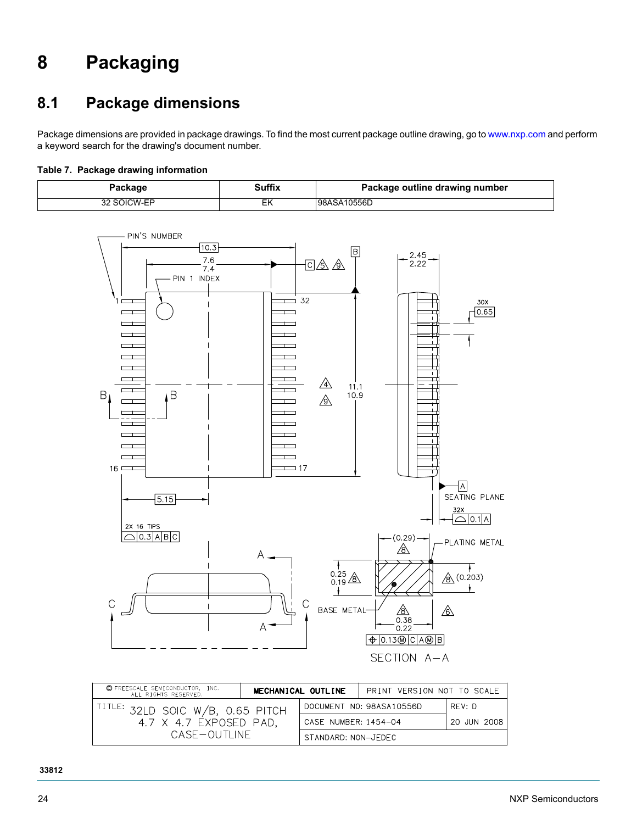# <span id="page-23-0"></span>**8 Packaging**

# <span id="page-23-1"></span>**8.1 Package dimensions**

Package dimensions are provided in package drawings. To find the most current package outline drawing, go to<www.nxp.com>and perform a keyword search for the drawing's document number.

#### **Table 7. Package drawing information**

| Package     | <b>Suffix</b> | Package outline drawing number |
|-------------|---------------|--------------------------------|
| 32 SOICW-EP | ΕK            | 98ASA10556D                    |



| © FREESCALE SEMICONDUCTOR, INC.<br>ALL RIGHTS RESERVED.                         |  | MECHANICAL OUTLINE   | PRINT VERSION NOT TO SCALE |             |
|---------------------------------------------------------------------------------|--|----------------------|----------------------------|-------------|
| $1^{TITLE:}$ 32LD SOIC W/B, 0.65 PITCH<br>4.7 X 4.7 EXPOSED PAD,<br>CASE—OUTHNE |  |                      | DOCUMENT NO: 98ASA10556D   | RFV: D      |
|                                                                                 |  | CASE NUMBER: 1454-04 |                            | 20 JUN 2008 |
|                                                                                 |  | STANDARD: NON-JEDEC  |                            |             |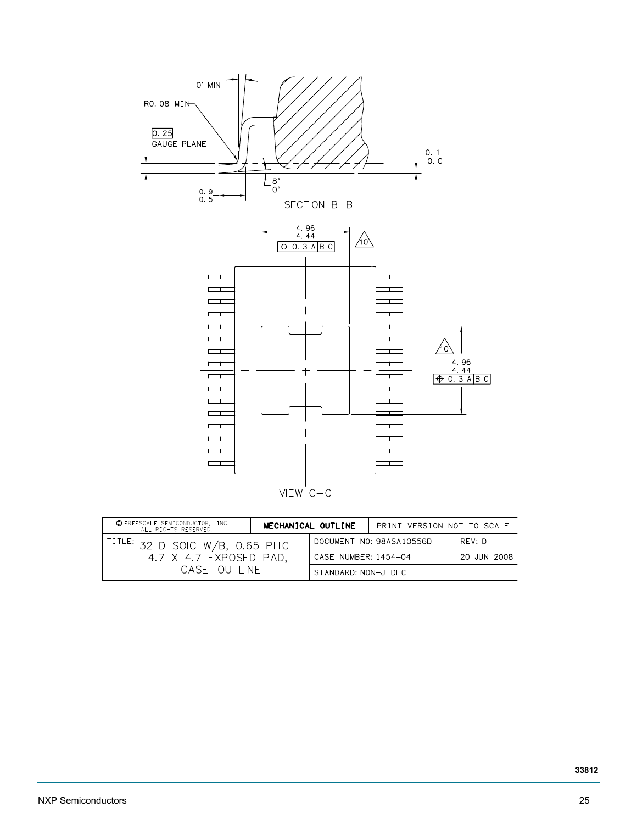

| C FREESCALE SEMICONDUCTOR, INC.<br>ALL RIGHTS RESERVED.                                   |  | MECHANICAL OUTLINE   | PRINT VERSION NOT TO SCALE |             |
|-------------------------------------------------------------------------------------------|--|----------------------|----------------------------|-------------|
| I <sup>TITLE:</sup> 32LD SOIC W/B, 0.65 PITCH<br>4.7 X 4.7 EXPOSED PAD.<br>CASE – OUTLINE |  |                      | DOCUMENT NO: 98ASA10556D   | RFV: D      |
|                                                                                           |  | CASE NUMBER: 1454-04 |                            | 20 JUN 2008 |
|                                                                                           |  | STANDARD: NON-JFDFC  |                            |             |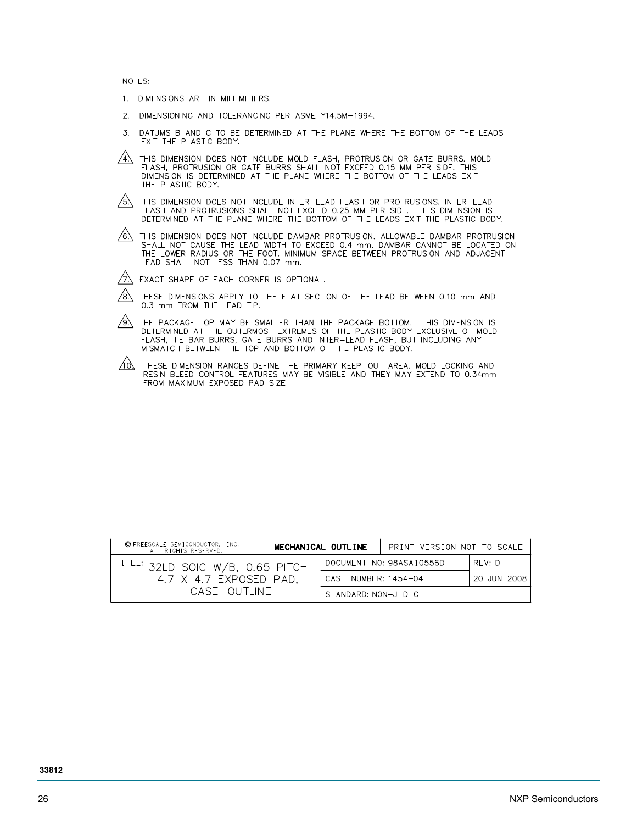NOTES:

- 1. DIMENSIONS ARE IN MILLIMETERS.
- DIMENSIONING AND TOLERANCING PER ASME Y14.5M-1994.  $2<sup>1</sup>$
- DATUMS B AND C TO BE DETERMINED AT THE PLANE WHERE THE BOTTOM OF THE LEADS EXIT THE PLASTIC BODY.  $\overline{3}$
- $\overbrace{4\lambda}$  this dimension does not include mold flash, protrusion or gate burrs. Mold flash, protrusion or gate burrs shall not exceed 0.15 mm per side. This dimension is determined at the plane where the bottom of the le THE PLASTIC BODY.
- $\overbrace{\mathfrak{H}}$  this dimension does not include inter-lead flash or protrusions. Inter-lead flash and protrusions shall not exceed 0.25 mm per side. This dimension is determined at the plane where the bottom of the leads exi
- $\sqrt{6}$ . This dimension does not include dambar protrusion. Allowable dambar protrusion THALL NOT CAUSE THE LEAD WIDTH TO EXCEED 0.4 mm. DAMBAR CANNOT BE LOCATED ON<br>THE LOWER RADIUS OR THE FOOT. MINIMUM SPACE BETWEEN PROTRUSION AND ADJACENT<br>LEAD SHALL NOT LESS THAN 0.07 mm.
- $\sqrt{7}$  EXACT SHAPE OF EACH CORNER IS OPTIONAL.
- $\sqrt{8}$  These dimensions apply to the flat section of the lead between 0.10 mm and 0.3 mm FROM THE LEAD TIP.
- $\overbrace{\phi}$ . The package top may be smaller than the package bottom. This dimension is determined at the outermost extremes of the plastic body exclusive of mold flash, tie bar burrs, gate burrs and inter-lead flash, but inc
- $\overbrace{100}$  THESE DIMENSION RANGES DEFINE THE PRIMARY KEEP-OUT AREA. MOLD LOCKING AND RESIN BLEED CONTROL FEATURES MAY BE VISIBLE AND THEY MAY EXTEND TO 0.34mm FROM MAXIMUM EXPOSED PAD SIZE

| C FREESCALE SEMICONDUCTOR, INC.<br>ALL RIGHTS RESERVED.                                 | MECHANICAL OUTLINE |                      | PRINT VERSION NOT TO SCALE |             |
|-----------------------------------------------------------------------------------------|--------------------|----------------------|----------------------------|-------------|
| <sup>title:</sup> 32LD soic W/B, 0.65 pitch<br>4.7 X 4.7 EXPOSED PAD,<br>CASE – OUTLINE |                    |                      | DOCUMENT NO: 98ASA10556D   | RFV: D      |
|                                                                                         |                    | CASE NUMBER: 1454-04 |                            | 20 JUN 2008 |
|                                                                                         |                    | STANDARD: NON-JEDEC  |                            |             |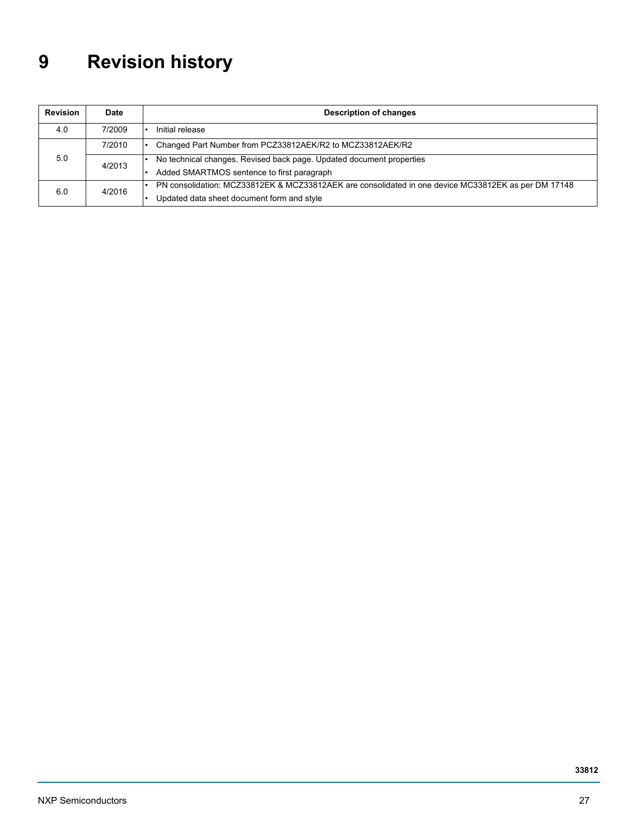# <span id="page-26-0"></span>**9 Revision history**

| Revision      | Date                                                                 | <b>Description of changes</b>                                                                       |  |  |
|---------------|----------------------------------------------------------------------|-----------------------------------------------------------------------------------------------------|--|--|
| 4.0           | 7/2009                                                               | Initial release                                                                                     |  |  |
|               | 7/2010                                                               | Changed Part Number from PCZ33812AEK/R2 to MCZ33812AEK/R2                                           |  |  |
| 5.0<br>4/2013 | No technical changes. Revised back page. Updated document properties |                                                                                                     |  |  |
|               | Added SMARTMOS sentence to first paragraph                           |                                                                                                     |  |  |
| 4/2016<br>6.0 |                                                                      | PN consolidation: MCZ33812EK & MCZ33812AEK are consolidated in one device MC33812EK as per DM 17148 |  |  |
|               |                                                                      | Updated data sheet document form and style                                                          |  |  |